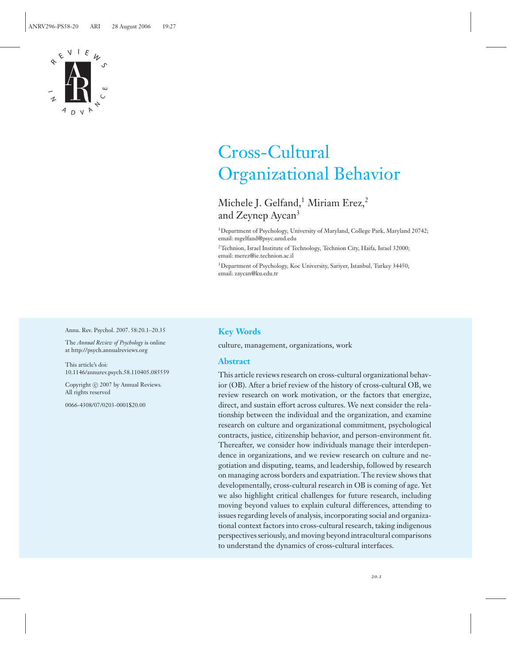

# Cross-Cultural Organizational Behavior

## Michele J. Gelfand,<sup>1</sup> Miriam Erez,<sup>2</sup> and Zeynep Aycan<sup>3</sup>

<sup>1</sup>Department of Psychology, University of Maryland, College Park, Maryland 20742; email: mgelfand@psyc.umd.edu

2Technion, Israel Institute of Technology, Technion City, Haifa, Israel 32000; email: merez@ie.technion.ac.il

3Department of Psychology, Koc University, Sariyer, Istanbul, Turkey 34450; email: zaycan@ku.edu.tr

Annu. Rev. Psychol. 2007. 58:20.1–20.35

The *Annual Review of Psychology* is online at http://psych.annualreviews.org

This article's doi: 10.1146/annurev.psych.58.110405.085559

Copyright  $\odot$  2007 by Annual Reviews. All rights reserved

0066-4308/07/0203-0001\$20.00

#### **Key Words**

culture, management, organizations, work

## **Abstract**

This article reviews research on cross-cultural organizational behavior (OB). After a brief review of the history of cross-cultural OB, we review research on work motivation, or the factors that energize, direct, and sustain effort across cultures. We next consider the relationship between the individual and the organization, and examine research on culture and organizational commitment, psychological contracts, justice, citizenship behavior, and person-environment fit. Thereafter, we consider how individuals manage their interdependence in organizations, and we review research on culture and negotiation and disputing, teams, and leadership, followed by research on managing across borders and expatriation. The review shows that developmentally, cross-cultural research in OB is coming of age. Yet we also highlight critical challenges for future research, including moving beyond values to explain cultural differences, attending to issues regarding levels of analysis, incorporating social and organizational context factors into cross-cultural research, taking indigenous perspectives seriously, and moving beyond intracultural comparisons to understand the dynamics of cross-cultural interfaces.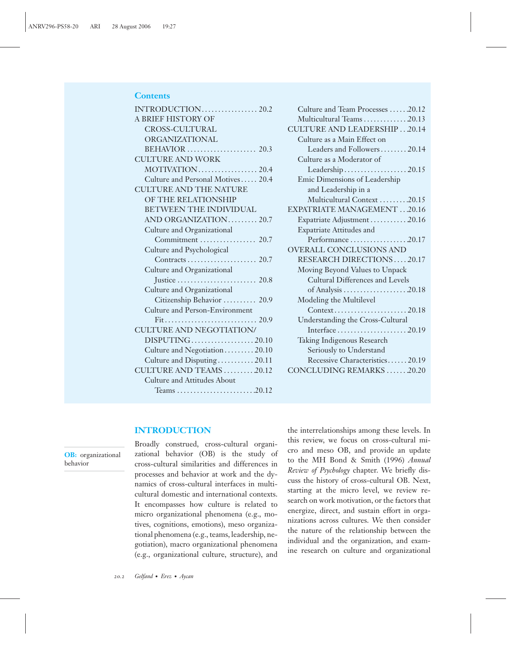## **Contents**

| INTRODUCTION20.2                  |
|-----------------------------------|
| A BRIEF HISTORY OF                |
| CROSS-CULTURAL                    |
| ORGANIZATIONAL                    |
|                                   |
| <b>CULTURE AND WORK</b>           |
|                                   |
| Culture and Personal Motives 20.4 |
| <b>CULTURE AND THE NATURE</b>     |
| OF THE RELATIONSHIP               |
| <b>BETWEEN THE INDIVIDUAL</b>     |
| AND ORGANIZATION 20.7             |
| Culture and Organizational        |
| Commitment  20.7                  |
| Culture and Psychological         |
|                                   |
| Culture and Organizational        |
|                                   |
| Culture and Organizational        |
| Citizenship Behavior  20.9        |
| Culture and Person-Environment    |
|                                   |
| <b>CULTURE AND NEGOTIATION/</b>   |
|                                   |
| Culture and Negotiation  20.10    |
| Culture and Disputing20.11        |
| CULTURE AND TEAMS20.12            |
| Culture and Attitudes About       |
|                                   |

| Culture and Team Processes 20.12   |
|------------------------------------|
| Multicultural Teams  20.13         |
| <b>CULTURE AND LEADERSHIP20.14</b> |
| Culture as a Main Effect on        |
| Leaders and Followers20.14         |
| Culture as a Moderator of          |
| Leadership20.15                    |
| Emic Dimensions of Leadership      |
| and Leadership in a                |
| Multicultural Context 20.15        |
| <b>EXPATRIATE MANAGEMENT20.16</b>  |
| Expatriate Adjustment  20.16       |
| <b>Expatriate Attitudes and</b>    |
| Performance20.17                   |
| OVERALL CONCLUSIONS AND            |
| RESEARCH DIRECTIONS20.17           |
| Moving Beyond Values to Unpack     |
| Cultural Differences and Levels    |
|                                    |
| Modeling the Multilevel            |
| Context20.18                       |
| Understanding the Cross-Cultural   |
|                                    |
| Taking Indigenous Research         |
| Seriously to Understand            |
| Recessive Characteristics20.19     |
| CONCLUDING REMARKS 20.20           |
|                                    |

## **INTRODUCTION**

**OB:** organizational behavior

Broadly construed, cross-cultural organizational behavior (OB) is the study of cross-cultural similarities and differences in processes and behavior at work and the dynamics of cross-cultural interfaces in multicultural domestic and international contexts. It encompasses how culture is related to micro organizational phenomena (e.g., motives, cognitions, emotions), meso organizational phenomena (e.g., teams, leadership, negotiation), macro organizational phenomena (e.g., organizational culture, structure), and

the interrelationships among these levels. In this review, we focus on cross-cultural micro and meso OB, and provide an update to the MH Bond & Smith (1996) *Annual Review of Psychology* chapter. We briefly discuss the history of cross-cultural OB. Next, starting at the micro level, we review research on work motivation, or the factors that energize, direct, and sustain effort in organizations across cultures. We then consider the nature of the relationship between the individual and the organization, and examine research on culture and organizational

*20.2 Gelfand* · *Erez* · *Aycan*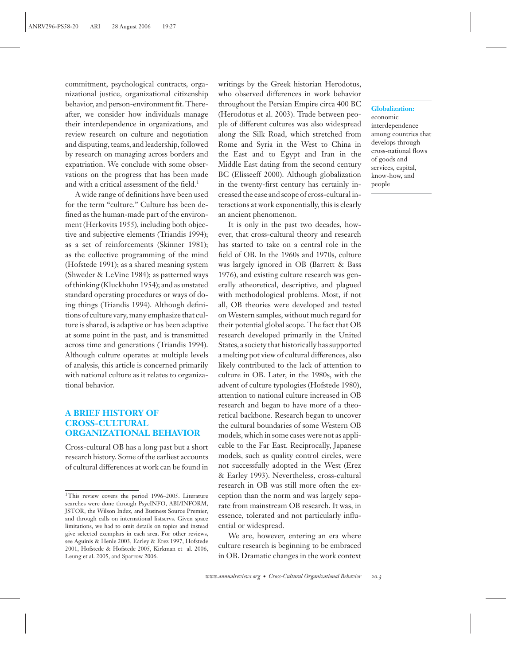commitment, psychological contracts, organizational justice, organizational citizenship behavior, and person-environment fit. Thereafter, we consider how individuals manage their interdependence in organizations, and review research on culture and negotiation and disputing, teams, and leadership, followed by research on managing across borders and expatriation. We conclude with some observations on the progress that has been made and with a critical assessment of the field.<sup>1</sup>

A wide range of definitions have been used for the term "culture." Culture has been defined as the human-made part of the environment (Herkovits 1955), including both objective and subjective elements (Triandis 1994); as a set of reinforcements (Skinner 1981); as the collective programming of the mind (Hofstede 1991); as a shared meaning system (Shweder & LeVine 1984); as patterned ways of thinking (Kluckhohn 1954); and as unstated standard operating procedures or ways of doing things (Triandis 1994). Although definitions of culture vary, many emphasize that culture is shared, is adaptive or has been adaptive at some point in the past, and is transmitted across time and generations (Triandis 1994). Although culture operates at multiple levels of analysis, this article is concerned primarily with national culture as it relates to organizational behavior.

## **A BRIEF HISTORY OF CROSS-CULTURAL ORGANIZATIONAL BEHAVIOR**

Cross-cultural OB has a long past but a short research history. Some of the earliest accounts of cultural differences at work can be found in

writings by the Greek historian Herodotus, who observed differences in work behavior throughout the Persian Empire circa 400 BC (Herodotus et al. 2003). Trade between people of different cultures was also widespread along the Silk Road, which stretched from Rome and Syria in the West to China in the East and to Egypt and Iran in the Middle East dating from the second century BC (Elisseeff 2000). Although globalization in the twenty-first century has certainly increased the ease and scope of cross-cultural interactions at work exponentially, this is clearly an ancient phenomenon.

It is only in the past two decades, however, that cross-cultural theory and research has started to take on a central role in the field of OB. In the 1960s and 1970s, culture was largely ignored in OB (Barrett & Bass 1976), and existing culture research was generally atheoretical, descriptive, and plagued with methodological problems. Most, if not all, OB theories were developed and tested on Western samples, without much regard for their potential global scope. The fact that OB research developed primarily in the United States, a society that historically has supported a melting pot view of cultural differences, also likely contributed to the lack of attention to culture in OB. Later, in the 1980s, with the advent of culture typologies (Hofstede 1980), attention to national culture increased in OB research and began to have more of a theoretical backbone. Research began to uncover the cultural boundaries of some Western OB models, which in some cases were not as applicable to the Far East. Reciprocally, Japanese models, such as quality control circles, were not successfully adopted in the West (Erez & Earley 1993). Nevertheless, cross-cultural research in OB was still more often the exception than the norm and was largely separate from mainstream OB research. It was, in essence, tolerated and not particularly influential or widespread.

We are, however, entering an era where culture research is beginning to be embraced in OB. Dramatic changes in the work context

## **Globalization:** economic

interdependence among countries that develops through cross-national flows of goods and services, capital, know-how, and people

<sup>&</sup>lt;sup>1</sup>This review covers the period 1996-2005. Literature searches were done through PsycINFO, ABI/INFORM, JSTOR, the Wilson Index, and Business Source Premier, and through calls on international listservs. Given space limitations, we had to omit details on topics and instead give selected exemplars in each area. For other reviews, see Aguinis & Henle 2003, Earley & Erez 1997, Hofstede 2001, Hofstede & Hofstede 2005, Kirkman et al. 2006, Leung et al. 2005, and Sparrow 2006.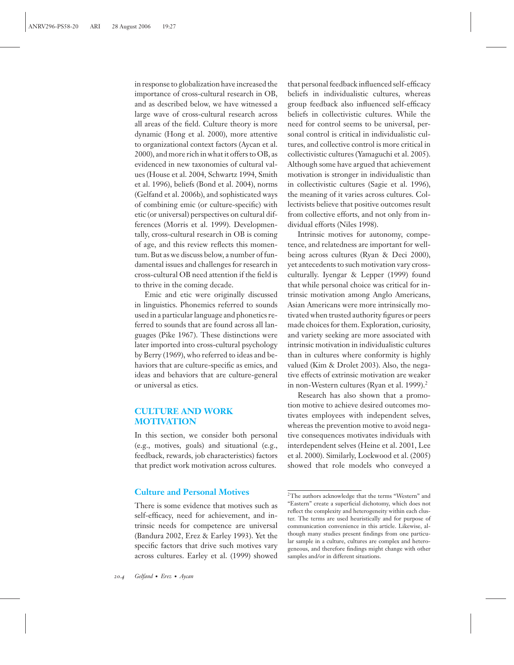in response to globalization have increased the importance of cross-cultural research in OB, and as described below, we have witnessed a large wave of cross-cultural research across all areas of the field. Culture theory is more dynamic (Hong et al. 2000), more attentive to organizational context factors (Aycan et al. 2000), and more rich in what it offers to OB, as evidenced in new taxonomies of cultural values (House et al. 2004, Schwartz 1994, Smith et al. 1996), beliefs (Bond et al. 2004), norms (Gelfand et al. 2006b), and sophisticated ways of combining emic (or culture-specific) with etic (or universal) perspectives on cultural differences (Morris et al. 1999). Developmentally, cross-cultural research in OB is coming of age, and this review reflects this momentum. But as we discuss below, a number of fundamental issues and challenges for research in cross-cultural OB need attention if the field is to thrive in the coming decade.

Emic and etic were originally discussed in linguistics. Phonemics referred to sounds used in a particular language and phonetics referred to sounds that are found across all languages (Pike 1967). These distinctions were later imported into cross-cultural psychology by Berry (1969), who referred to ideas and behaviors that are culture-specific as emics, and ideas and behaviors that are culture-general or universal as etics.

## **CULTURE AND WORK MOTIVATION**

In this section, we consider both personal (e.g., motives, goals) and situational (e.g., feedback, rewards, job characteristics) factors that predict work motivation across cultures.

#### **Culture and Personal Motives**

There is some evidence that motives such as self-efficacy, need for achievement, and intrinsic needs for competence are universal (Bandura 2002, Erez & Earley 1993). Yet the specific factors that drive such motives vary across cultures. Earley et al. (1999) showed

*20.4 Gelfand* · *Erez* · *Aycan*

that personal feedback influenced self-efficacy beliefs in individualistic cultures, whereas group feedback also influenced self-efficacy beliefs in collectivistic cultures. While the need for control seems to be universal, personal control is critical in individualistic cultures, and collective control is more critical in collectivistic cultures (Yamaguchi et al. 2005). Although some have argued that achievement motivation is stronger in individualistic than in collectivistic cultures (Sagie et al. 1996), the meaning of it varies across cultures. Collectivists believe that positive outcomes result from collective efforts, and not only from individual efforts (Niles 1998).

Intrinsic motives for autonomy, competence, and relatedness are important for wellbeing across cultures (Ryan & Deci 2000), yet antecedents to such motivation vary crossculturally. Iyengar & Lepper (1999) found that while personal choice was critical for intrinsic motivation among Anglo Americans, Asian Americans were more intrinsically motivated when trusted authority figures or peers made choices for them. Exploration, curiosity, and variety seeking are more associated with intrinsic motivation in individualistic cultures than in cultures where conformity is highly valued (Kim & Drolet 2003). Also, the negative effects of extrinsic motivation are weaker in non-Western cultures (Ryan et al. 1999).<sup>2</sup>

Research has also shown that a promotion motive to achieve desired outcomes motivates employees with independent selves, whereas the prevention motive to avoid negative consequences motivates individuals with interdependent selves (Heine et al. 2001, Lee et al. 2000). Similarly, Lockwood et al. (2005) showed that role models who conveyed a

<sup>2</sup>The authors acknowledge that the terms "Western" and "Eastern" create a superficial dichotomy, which does not reflect the complexity and heterogeneity within each cluster. The terms are used heuristically and for purpose of communication convenience in this article. Likewise, although many studies present findings from one particular sample in a culture, cultures are complex and heterogeneous, and therefore findings might change with other samples and/or in different situations.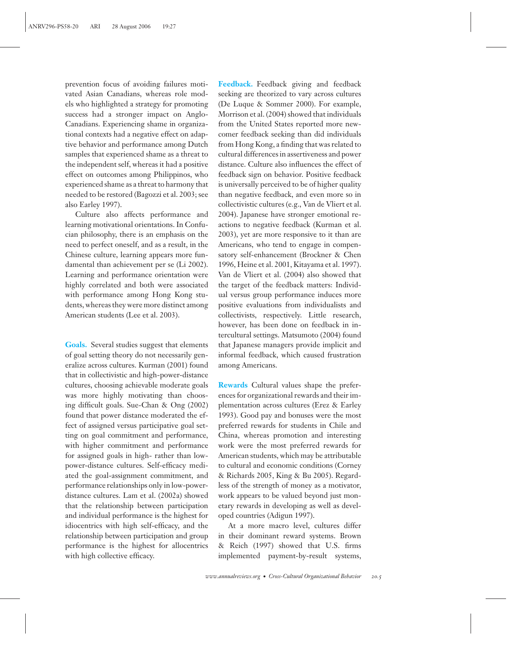prevention focus of avoiding failures motivated Asian Canadians, whereas role models who highlighted a strategy for promoting success had a stronger impact on Anglo-Canadians. Experiencing shame in organizational contexts had a negative effect on adaptive behavior and performance among Dutch samples that experienced shame as a threat to the independent self, whereas it had a positive effect on outcomes among Philippinos, who experienced shame as a threat to harmony that needed to be restored (Bagozzi et al. 2003; see also Earley 1997).

Culture also affects performance and learning motivational orientations. In Confucian philosophy, there is an emphasis on the need to perfect oneself, and as a result, in the Chinese culture, learning appears more fundamental than achievement per se (Li 2002). Learning and performance orientation were highly correlated and both were associated with performance among Hong Kong students, whereas they were more distinct among American students (Lee et al. 2003).

**Goals.** Several studies suggest that elements of goal setting theory do not necessarily generalize across cultures. Kurman (2001) found that in collectivistic and high-power-distance cultures, choosing achievable moderate goals was more highly motivating than choosing difficult goals. Sue-Chan & Ong (2002) found that power distance moderated the effect of assigned versus participative goal setting on goal commitment and performance, with higher commitment and performance for assigned goals in high- rather than lowpower-distance cultures. Self-efficacy mediated the goal-assignment commitment, and performance relationships only in low-powerdistance cultures. Lam et al. (2002a) showed that the relationship between participation and individual performance is the highest for idiocentrics with high self-efficacy, and the relationship between participation and group performance is the highest for allocentrics with high collective efficacy.

**Feedback.** Feedback giving and feedback seeking are theorized to vary across cultures (De Luque & Sommer 2000). For example, Morrison et al. (2004) showed that individuals from the United States reported more newcomer feedback seeking than did individuals from Hong Kong, a finding that was related to cultural differences in assertiveness and power distance. Culture also influences the effect of feedback sign on behavior. Positive feedback is universally perceived to be of higher quality than negative feedback, and even more so in collectivistic cultures (e.g., Van de Vliert et al. 2004). Japanese have stronger emotional reactions to negative feedback (Kurman et al. 2003), yet are more responsive to it than are Americans, who tend to engage in compensatory self-enhancement (Brockner & Chen 1996, Heine et al. 2001, Kitayama et al. 1997). Van de Vliert et al. (2004) also showed that the target of the feedback matters: Individual versus group performance induces more positive evaluations from individualists and collectivists, respectively. Little research, however, has been done on feedback in intercultural settings. Matsumoto (2004) found that Japanese managers provide implicit and informal feedback, which caused frustration among Americans.

**Rewards** Cultural values shape the preferences for organizational rewards and their implementation across cultures (Erez & Earley 1993). Good pay and bonuses were the most preferred rewards for students in Chile and China, whereas promotion and interesting work were the most preferred rewards for American students, which may be attributable to cultural and economic conditions (Corney & Richards 2005, King & Bu 2005). Regardless of the strength of money as a motivator, work appears to be valued beyond just monetary rewards in developing as well as developed countries (Adigun 1997).

At a more macro level, cultures differ in their dominant reward systems. Brown & Reich (1997) showed that U.S. firms implemented payment-by-result systems,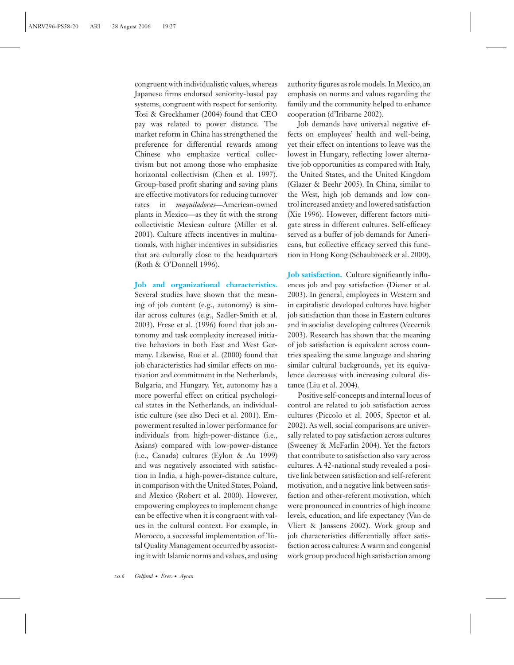congruent with individualistic values, whereas Japanese firms endorsed seniority-based pay systems, congruent with respect for seniority. Tosi & Greckhamer (2004) found that CEO pay was related to power distance. The market reform in China has strengthened the preference for differential rewards among Chinese who emphasize vertical collectivism but not among those who emphasize horizontal collectivism (Chen et al. 1997). Group-based profit sharing and saving plans are effective motivators for reducing turnover rates in *maquiladoras*—American-owned plants in Mexico—as they fit with the strong collectivistic Mexican culture (Miller et al. 2001). Culture affects incentives in multinationals, with higher incentives in subsidiaries that are culturally close to the headquarters (Roth & O'Donnell 1996).

**Job and organizational characteristics.** Several studies have shown that the meaning of job content (e.g., autonomy) is similar across cultures (e.g., Sadler-Smith et al. 2003). Frese et al. (1996) found that job autonomy and task complexity increased initiative behaviors in both East and West Germany. Likewise, Roe et al. (2000) found that job characteristics had similar effects on motivation and commitment in the Netherlands, Bulgaria, and Hungary. Yet, autonomy has a more powerful effect on critical psychological states in the Netherlands, an individualistic culture (see also Deci et al. 2001). Empowerment resulted in lower performance for individuals from high-power-distance (i.e., Asians) compared with low-power-distance (i.e., Canada) cultures (Eylon & Au 1999) and was negatively associated with satisfaction in India, a high-power-distance culture, in comparison with the United States, Poland, and Mexico (Robert et al. 2000). However, empowering employees to implement change can be effective when it is congruent with values in the cultural context. For example, in Morocco, a successful implementation of Total Quality Management occurred by associating it with Islamic norms and values, and using

authority figures as role models. In Mexico, an emphasis on norms and values regarding the family and the community helped to enhance cooperation (d'Iribarne 2002).

Job demands have universal negative effects on employees' health and well-being, yet their effect on intentions to leave was the lowest in Hungary, reflecting lower alternative job opportunities as compared with Italy, the United States, and the United Kingdom (Glazer & Beehr 2005). In China, similar to the West, high job demands and low control increased anxiety and lowered satisfaction (Xie 1996). However, different factors mitigate stress in different cultures. Self-efficacy served as a buffer of job demands for Americans, but collective efficacy served this function in Hong Kong (Schaubroeck et al. 2000).

**Job satisfaction.** Culture significantly influences job and pay satisfaction (Diener et al. 2003). In general, employees in Western and in capitalistic developed cultures have higher job satisfaction than those in Eastern cultures and in socialist developing cultures (Vecernik 2003). Research has shown that the meaning of job satisfaction is equivalent across countries speaking the same language and sharing similar cultural backgrounds, yet its equivalence decreases with increasing cultural distance (Liu et al. 2004).

Positive self-concepts and internal locus of control are related to job satisfaction across cultures (Piccolo et al. 2005, Spector et al. 2002). As well, social comparisons are universally related to pay satisfaction across cultures (Sweeney & McFarlin 2004). Yet the factors that contribute to satisfaction also vary across cultures. A 42-national study revealed a positive link between satisfaction and self-referent motivation, and a negative link between satisfaction and other-referent motivation, which were pronounced in countries of high income levels, education, and life expectancy (Van de Vliert & Janssens 2002). Work group and job characteristics differentially affect satisfaction across cultures: A warm and congenial work group produced high satisfaction among

*20.6 Gelfand* · *Erez* · *Aycan*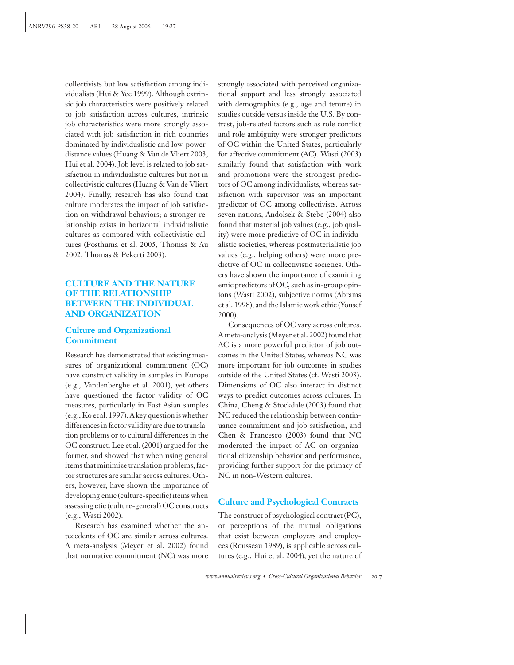collectivists but low satisfaction among individualists (Hui & Yee 1999). Although extrinsic job characteristics were positively related to job satisfaction across cultures, intrinsic job characteristics were more strongly associated with job satisfaction in rich countries dominated by individualistic and low-powerdistance values (Huang & Van de Vliert 2003, Hui et al. 2004). Job level is related to job satisfaction in individualistic cultures but not in collectivistic cultures (Huang & Van de Vliert 2004). Finally, research has also found that culture moderates the impact of job satisfaction on withdrawal behaviors; a stronger relationship exists in horizontal individualistic cultures as compared with collectivistic cultures (Posthuma et al. 2005, Thomas & Au 2002, Thomas & Pekerti 2003).

## **CULTURE AND THE NATURE OF THE RELATIONSHIP BETWEEN THE INDIVIDUAL AND ORGANIZATION**

## **Culture and Organizational Commitment**

Research has demonstrated that existing measures of organizational commitment (OC) have construct validity in samples in Europe (e.g., Vandenberghe et al. 2001), yet others have questioned the factor validity of OC measures, particularly in East Asian samples (e.g., Ko et al. 1997). A key question is whether differences in factor validity are due to translation problems or to cultural differences in the OC construct. Lee et al. (2001) argued for the former, and showed that when using general items that minimize translation problems, factor structures are similar across cultures. Others, however, have shown the importance of developing emic (culture-specific) items when assessing etic (culture-general) OC constructs (e.g., Wasti 2002).

Research has examined whether the antecedents of OC are similar across cultures. A meta-analysis (Meyer et al. 2002) found that normative commitment (NC) was more

strongly associated with perceived organizational support and less strongly associated with demographics (e.g., age and tenure) in studies outside versus inside the U.S. By contrast, job-related factors such as role conflict and role ambiguity were stronger predictors of OC within the United States, particularly for affective commitment (AC). Wasti (2003) similarly found that satisfaction with work and promotions were the strongest predictors of OC among individualists, whereas satisfaction with supervisor was an important predictor of OC among collectivists. Across seven nations, Andolsek & Stebe (2004) also found that material job values (e.g., job quality) were more predictive of OC in individualistic societies, whereas postmaterialistic job values (e.g., helping others) were more predictive of OC in collectivistic societies. Others have shown the importance of examining emic predictors of OC, such as in-group opinions (Wasti 2002), subjective norms (Abrams et al. 1998), and the Islamic work ethic (Yousef 2000).

Consequences of OC vary across cultures. A meta-analysis (Meyer et al. 2002) found that AC is a more powerful predictor of job outcomes in the United States, whereas NC was more important for job outcomes in studies outside of the United States (cf. Wasti 2003). Dimensions of OC also interact in distinct ways to predict outcomes across cultures. In China, Cheng & Stockdale (2003) found that NC reduced the relationship between continuance commitment and job satisfaction, and Chen & Francesco (2003) found that NC moderated the impact of AC on organizational citizenship behavior and performance, providing further support for the primacy of NC in non-Western cultures.

## **Culture and Psychological Contracts**

The construct of psychological contract (PC), or perceptions of the mutual obligations that exist between employers and employees (Rousseau 1989), is applicable across cultures (e.g., Hui et al. 2004), yet the nature of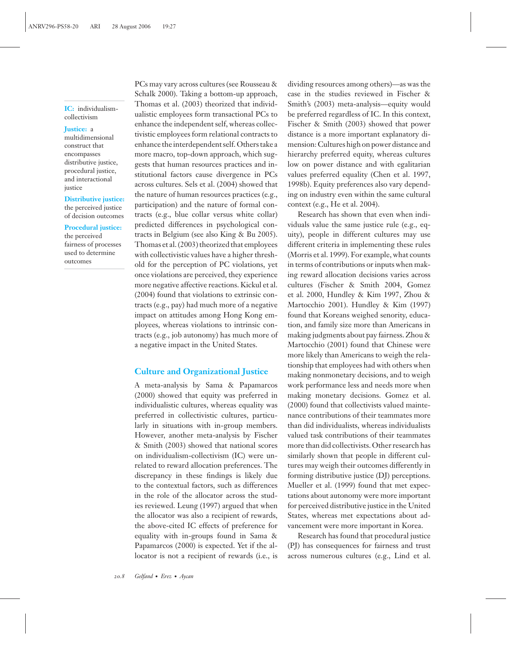**IC:** individualismcollectivism

#### **Justice:** a

multidimensional construct that encompasses distributive justice, procedural justice, and interactional justice

#### **Distributive justice:**

the perceived justice of decision outcomes

#### **Procedural justice:**

the perceived fairness of processes used to determine outcomes

PCs may vary across cultures (see Rousseau & Schalk 2000). Taking a bottom-up approach, Thomas et al. (2003) theorized that individualistic employees form transactional PCs to enhance the independent self, whereas collectivistic employees form relational contracts to enhance the interdependent self. Others take a more macro, top-down approach, which suggests that human resources practices and institutional factors cause divergence in PCs across cultures. Sels et al. (2004) showed that the nature of human resources practices (e.g., participation) and the nature of formal contracts (e.g., blue collar versus white collar) predicted differences in psychological contracts in Belgium (see also King & Bu 2005). Thomas et al. (2003) theorized that employees with collectivistic values have a higher threshold for the perception of PC violations, yet once violations are perceived, they experience more negative affective reactions. Kickul et al. (2004) found that violations to extrinsic contracts (e.g., pay) had much more of a negative impact on attitudes among Hong Kong employees, whereas violations to intrinsic contracts (e.g., job autonomy) has much more of a negative impact in the United States.

#### **Culture and Organizational Justice**

A meta-analysis by Sama & Papamarcos (2000) showed that equity was preferred in individualistic cultures, whereas equality was preferred in collectivistic cultures, particularly in situations with in-group members. However, another meta-analysis by Fischer & Smith (2003) showed that national scores on individualism-collectivism (IC) were unrelated to reward allocation preferences. The discrepancy in these findings is likely due to the contextual factors, such as differences in the role of the allocator across the studies reviewed. Leung (1997) argued that when the allocator was also a recipient of rewards, the above-cited IC effects of preference for equality with in-groups found in Sama & Papamarcos (2000) is expected. Yet if the allocator is not a recipient of rewards (i.e., is

dividing resources among others)—as was the case in the studies reviewed in Fischer & Smith's (2003) meta-analysis—equity would be preferred regardless of IC. In this context, Fischer & Smith (2003) showed that power distance is a more important explanatory dimension: Cultures high on power distance and hierarchy preferred equity, whereas cultures low on power distance and with egalitarian values preferred equality (Chen et al. 1997, 1998b). Equity preferences also vary depending on industry even within the same cultural context (e.g., He et al. 2004).

Research has shown that even when individuals value the same justice rule (e.g., equity), people in different cultures may use different criteria in implementing these rules (Morris et al. 1999). For example, what counts in terms of contributions or inputs when making reward allocation decisions varies across cultures (Fischer & Smith 2004, Gomez et al. 2000, Hundley & Kim 1997, Zhou & Martocchio 2001). Hundley & Kim (1997) found that Koreans weighed senority, education, and family size more than Americans in making judgments about pay fairness. Zhou & Martocchio (2001) found that Chinese were more likely than Americans to weigh the relationship that employees had with others when making nonmonetary decisions, and to weigh work performance less and needs more when making monetary decisions. Gomez et al. (2000) found that collectivists valued maintenance contributions of their teammates more than did individualists, whereas individualists valued task contributions of their teammates more than did collectivists. Other research has similarly shown that people in different cultures may weigh their outcomes differently in forming distributive justice (DJ) perceptions. Mueller et al. (1999) found that met expectations about autonomy were more important for perceived distributive justice in the United States, whereas met expectations about advancement were more important in Korea.

Research has found that procedural justice (PJ) has consequences for fairness and trust across numerous cultures (e.g., Lind et al.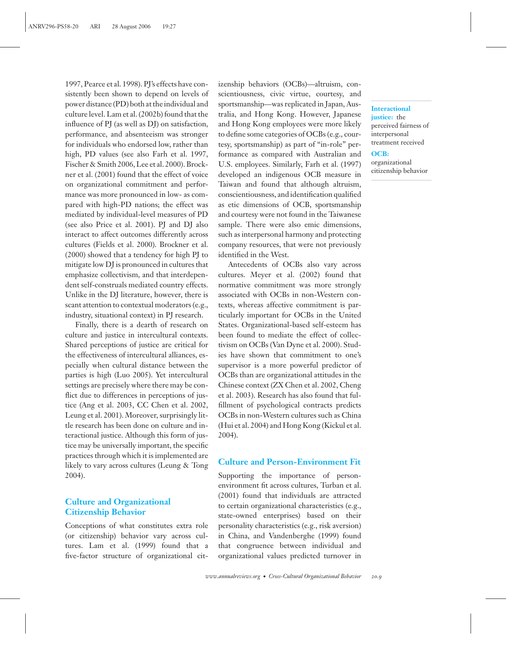1997, Pearce et al. 1998). PJ's effects have consistently been shown to depend on levels of power distance (PD) both at the individual and culture level. Lam et al. (2002b) found that the influence of PJ (as well as DJ) on satisfaction, performance, and absenteeism was stronger for individuals who endorsed low, rather than high, PD values (see also Farh et al. 1997, Fischer & Smith 2006, Lee et al. 2000). Brockner et al. (2001) found that the effect of voice on organizational commitment and performance was more pronounced in low- as compared with high-PD nations; the effect was mediated by individual-level measures of PD (see also Price et al. 2001). PJ and DJ also interact to affect outcomes differently across cultures (Fields et al. 2000). Brockner et al. (2000) showed that a tendency for high PJ to mitigate low DJ is pronounced in cultures that emphasize collectivism, and that interdependent self-construals mediated country effects. Unlike in the DJ literature, however, there is scant attention to contextual moderators (e.g., industry, situational context) in PJ research.

Finally, there is a dearth of research on culture and justice in intercultural contexts. Shared perceptions of justice are critical for the effectiveness of intercultural alliances, especially when cultural distance between the parties is high (Luo 2005). Yet intercultural settings are precisely where there may be conflict due to differences in perceptions of justice (Ang et al. 2003, CC Chen et al. 2002, Leung et al. 2001). Moreover, surprisingly little research has been done on culture and interactional justice. Although this form of justice may be universally important, the specific practices through which it is implemented are likely to vary across cultures (Leung & Tong 2004).

## **Culture and Organizational Citizenship Behavior**

Conceptions of what constitutes extra role (or citizenship) behavior vary across cultures. Lam et al. (1999) found that a five-factor structure of organizational cit-

izenship behaviors (OCBs)—altruism, conscientiousness, civic virtue, courtesy, and sportsmanship—was replicated in Japan, Australia, and Hong Kong. However, Japanese and Hong Kong employees were more likely to define some categories of OCBs (e.g., courtesy, sportsmanship) as part of "in-role" performance as compared with Australian and U.S. employees. Similarly, Farh et al. (1997) developed an indigenous OCB measure in Taiwan and found that although altruism, conscientiousness, and identification qualified as etic dimensions of OCB, sportsmanship and courtesy were not found in the Taiwanese sample. There were also emic dimensions, such as interpersonal harmony and protecting company resources, that were not previously identified in the West.

Antecedents of OCBs also vary across cultures. Meyer et al. (2002) found that normative commitment was more strongly associated with OCBs in non-Western contexts, whereas affective commitment is particularly important for OCBs in the United States. Organizational-based self-esteem has been found to mediate the effect of collectivism on OCBs (Van Dyne et al. 2000). Studies have shown that commitment to one's supervisor is a more powerful predictor of OCBs than are organizational attitudes in the Chinese context (ZX Chen et al. 2002, Cheng et al. 2003). Research has also found that fulfillment of psychological contracts predicts OCBs in non-Western cultures such as China (Hui et al. 2004) and Hong Kong (Kickul et al. 2004).

## **Culture and Person-Environment Fit**

Supporting the importance of personenvironment fit across cultures, Turban et al. (2001) found that individuals are attracted to certain organizational characteristics (e.g., state-owned enterprises) based on their personality characteristics (e.g., risk aversion) in China, and Vandenberghe (1999) found that congruence between individual and organizational values predicted turnover in **Interactional justice:** the perceived fairness of interpersonal treatment received **OCB:**

organizational citizenship behavior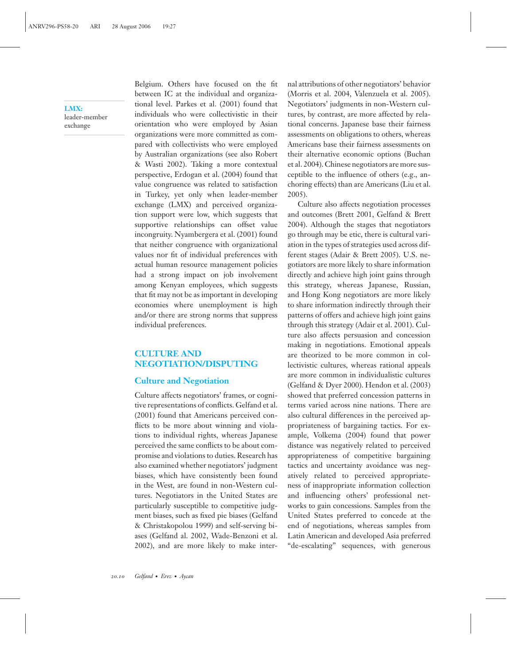**LMX:** leader-member exchange

Belgium. Others have focused on the fit between IC at the individual and organizational level. Parkes et al. (2001) found that individuals who were collectivistic in their orientation who were employed by Asian organizations were more committed as compared with collectivists who were employed by Australian organizations (see also Robert & Wasti 2002). Taking a more contextual perspective, Erdogan et al. (2004) found that value congruence was related to satisfaction in Turkey, yet only when leader-member exchange (LMX) and perceived organization support were low, which suggests that supportive relationships can offset value incongruity. Nyambergera et al. (2001) found that neither congruence with organizational values nor fit of individual preferences with actual human resource management policies had a strong impact on job involvement among Kenyan employees, which suggests that fit may not be as important in developing economies where unemployment is high and/or there are strong norms that suppress individual preferences.

## **CULTURE AND NEGOTIATION/DISPUTING**

#### **Culture and Negotiation**

Culture affects negotiators' frames, or cognitive representations of conflicts. Gelfand et al. (2001) found that Americans perceived conflicts to be more about winning and violations to individual rights, whereas Japanese perceived the same conflicts to be about compromise and violations to duties. Research has also examined whether negotiators' judgment biases, which have consistently been found in the West, are found in non-Western cultures. Negotiators in the United States are particularly susceptible to competitive judgment biases, such as fixed pie biases (Gelfand & Christakopolou 1999) and self-serving biases (Gelfand al. 2002, Wade-Benzoni et al. 2002), and are more likely to make internal attributions of other negotiators' behavior (Morris et al. 2004, Valenzuela et al. 2005). Negotiators' judgments in non-Western cultures, by contrast, are more affected by relational concerns. Japanese base their fairness assessments on obligations to others, whereas Americans base their fairness assessments on their alternative economic options (Buchan et al. 2004). Chinese negotiators are more susceptible to the influence of others (e.g., anchoring effects) than are Americans (Liu et al. 2005).

Culture also affects negotiation processes and outcomes (Brett 2001, Gelfand & Brett 2004). Although the stages that negotiators go through may be etic, there is cultural variation in the types of strategies used across different stages (Adair & Brett 2005). U.S. negotiators are more likely to share information directly and achieve high joint gains through this strategy, whereas Japanese, Russian, and Hong Kong negotiators are more likely to share information indirectly through their patterns of offers and achieve high joint gains through this strategy (Adair et al. 2001). Culture also affects persuasion and concession making in negotiations. Emotional appeals are theorized to be more common in collectivistic cultures, whereas rational appeals are more common in individualistic cultures (Gelfand & Dyer 2000). Hendon et al. (2003) showed that preferred concession patterns in terms varied across nine nations. There are also cultural differences in the perceived appropriateness of bargaining tactics. For example, Volkema (2004) found that power distance was negatively related to perceived appropriateness of competitive bargaining tactics and uncertainty avoidance was negatively related to perceived appropriateness of inappropriate information collection and influencing others' professional networks to gain concessions. Samples from the United States preferred to concede at the end of negotiations, whereas samples from Latin American and developed Asia preferred "de-escalating" sequences, with generous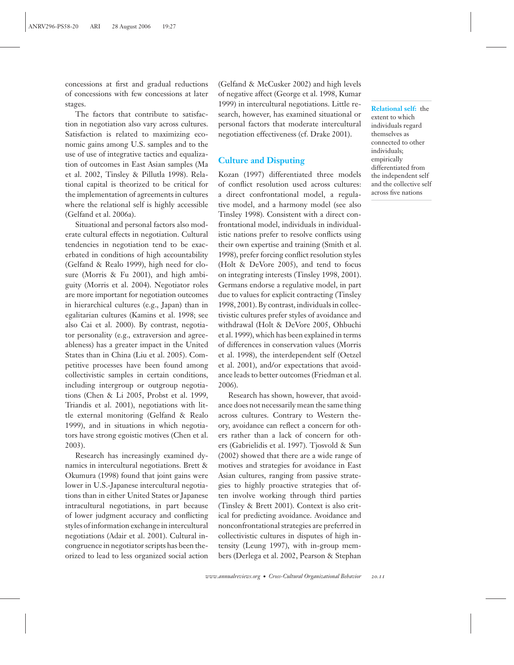concessions at first and gradual reductions of concessions with few concessions at later stages.

The factors that contribute to satisfaction in negotiation also vary across cultures. Satisfaction is related to maximizing economic gains among U.S. samples and to the use of use of integrative tactics and equalization of outcomes in East Asian samples (Ma et al. 2002, Tinsley & Pillutla 1998). Relational capital is theorized to be critical for the implementation of agreements in cultures where the relational self is highly accessible (Gelfand et al. 2006a).

Situational and personal factors also moderate cultural effects in negotiation. Cultural tendencies in negotiation tend to be exacerbated in conditions of high accountability (Gelfand & Realo 1999), high need for closure (Morris & Fu 2001), and high ambiguity (Morris et al. 2004). Negotiator roles are more important for negotiation outcomes in hierarchical cultures (e.g., Japan) than in egalitarian cultures (Kamins et al. 1998; see also Cai et al. 2000). By contrast, negotiator personality (e.g., extraversion and agreeableness) has a greater impact in the United States than in China (Liu et al. 2005). Competitive processes have been found among collectivistic samples in certain conditions, including intergroup or outgroup negotiations (Chen & Li 2005, Probst et al. 1999, Triandis et al. 2001), negotiations with little external monitoring (Gelfand & Realo 1999), and in situations in which negotiators have strong egoistic motives (Chen et al. 2003).

Research has increasingly examined dynamics in intercultural negotiations. Brett & Okumura (1998) found that joint gains were lower in U.S.-Japanese intercultural negotiations than in either United States or Japanese intracultural negotiations, in part because of lower judgment accuracy and conflicting styles of information exchange in intercultural negotiations (Adair et al. 2001). Cultural incongruence in negotiator scripts has been theorized to lead to less organized social action

(Gelfand & McCusker 2002) and high levels of negative affect (George et al. 1998, Kumar 1999) in intercultural negotiations. Little research, however, has examined situational or personal factors that moderate intercultural negotiation effectiveness (cf. Drake 2001).

## **Culture and Disputing**

Kozan (1997) differentiated three models of conflict resolution used across cultures: a direct confrontational model, a regulative model, and a harmony model (see also Tinsley 1998). Consistent with a direct confrontational model, individuals in individualistic nations prefer to resolve conflicts using their own expertise and training (Smith et al. 1998), prefer forcing conflict resolution styles (Holt & DeVore 2005), and tend to focus on integrating interests (Tinsley 1998, 2001). Germans endorse a regulative model, in part due to values for explicit contracting (Tinsley 1998, 2001). By contrast, individuals in collectivistic cultures prefer styles of avoidance and withdrawal (Holt & DeVore 2005, Ohbuchi et al. 1999), which has been explained in terms of differences in conservation values (Morris et al. 1998), the interdependent self (Oetzel et al. 2001), and/or expectations that avoidance leads to better outcomes (Friedman et al. 2006).

Research has shown, however, that avoidance does not necessarily mean the same thing across cultures. Contrary to Western theory, avoidance can reflect a concern for others rather than a lack of concern for others (Gabrielidis et al. 1997). Tjosvold & Sun (2002) showed that there are a wide range of motives and strategies for avoidance in East Asian cultures, ranging from passive strategies to highly proactive strategies that often involve working through third parties (Tinsley & Brett 2001). Context is also critical for predicting avoidance. Avoidance and nonconfrontational strategies are preferred in collectivistic cultures in disputes of high intensity (Leung 1997), with in-group members (Derlega et al. 2002, Pearson & Stephan

**Relational self:** the extent to which individuals regard themselves as connected to other individuals; empirically differentiated from the independent self and the collective self across five nations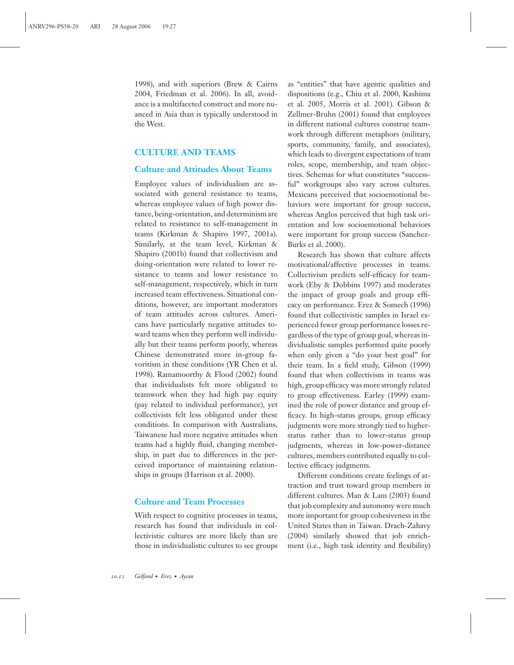1998), and with superiors (Brew & Cairns 2004, Friedman et al. 2006). In all, avoidance is a multifaceted construct and more nuanced in Asia than is typically understood in the West.

#### **CULTURE AND TEAMS**

## **Culture and Attitudes About Teams**

Employee values of individualism are associated with general resistance to teams, whereas employee values of high power distance, being-orientation, and determinism are related to resistance to self-management in teams (Kirkman & Shapiro 1997, 2001a). Similarly, at the team level, Kirkman & Shapiro (2001b) found that collectivism and doing-orientation were related to lower resistance to teams and lower resistance to self-management, respectively, which in turn increased team effectiveness. Situational conditions, however, are important moderators of team attitudes across cultures. Americans have particularly negative attitudes toward teams when they perform well individually but their teams perform poorly, whereas Chinese demonstrated more in-group favoritism in these conditions (YR Chen et al. 1998). Ramamoorthy & Flood (2002) found that individualists felt more obligated to teamwork when they had high pay equity (pay related to individual performance), yet collectivists felt less obligated under these conditions. In comparison with Australians, Taiwanese had more negative attitudes when teams had a highly fluid, changing membership, in part due to differences in the perceived importance of maintaining relationships in groups (Harrison et al. 2000).

#### **Culture and Team Processes**

With respect to cognitive processes in teams, research has found that individuals in collectivistic cultures are more likely than are those in individualistic cultures to see groups

as "entities" that have agentic qualities and dispositions (e.g., Chiu et al. 2000, Kashima et al. 2005, Morris et al. 2001). Gibson & Zellmer-Bruhn (2001) found that employees in different national cultures construe teamwork through different metaphors (military, sports, community, family, and associates), which leads to divergent expectations of team roles, scope, membership, and team objectives. Schemas for what constitutes "successful" workgroups also vary across cultures. Mexicans perceived that socioemotional behaviors were important for group success, whereas Anglos perceived that high task orientation and low socioemotional behaviors were important for group success (Sanchez-Burks et al. 2000).

Research has shown that culture affects motivational/affective processes in teams. Collectivism predicts self-efficacy for teamwork (Eby & Dobbins 1997) and moderates the impact of group goals and group efficacy on performance. Erez & Somech (1996) found that collectivistic samples in Israel experienced fewer group performance losses regardless of the type of group goal, whereas individualistic samples performed quite poorly when only given a "do your best goal" for their team. In a field study, Gibson (1999) found that when collectivism in teams was high, group efficacy was more strongly related to group effectiveness. Earley (1999) examined the role of power distance and group efficacy. In high-status groups, group efficacy judgments were more strongly tied to higherstatus rather than to lower-status group judgments, whereas in low-power-distance cultures, members contributed equally to collective efficacy judgments.

Different conditions create feelings of attraction and trust toward group members in different cultures. Man & Lam (2003) found that job complexity and autonomy were much more important for group cohesiveness in the United States than in Taiwan. Drach-Zahavy (2004) similarly showed that job enrichment (i.e., high task identity and flexibility)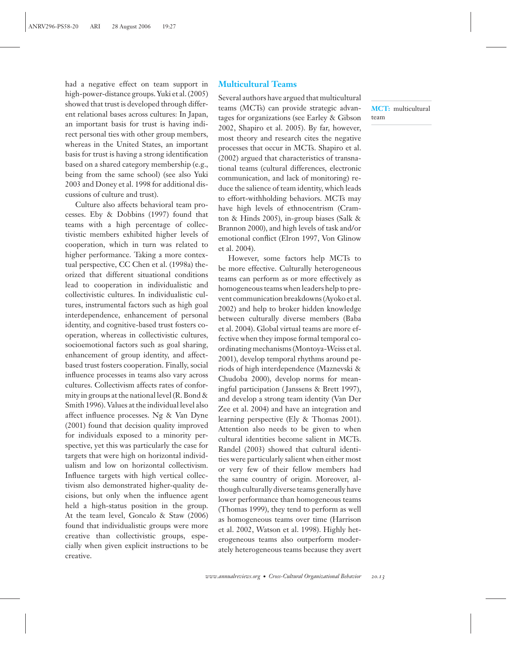had a negative effect on team support in high-power-distance groups. Yuki et al. (2005) showed that trust is developed through different relational bases across cultures: In Japan, an important basis for trust is having indirect personal ties with other group members, whereas in the United States, an important basis for trust is having a strong identification based on a shared category membership (e.g., being from the same school) (see also Yuki 2003 and Doney et al. 1998 for additional discussions of culture and trust).

Culture also affects behavioral team processes. Eby & Dobbins (1997) found that teams with a high percentage of collectivistic members exhibited higher levels of cooperation, which in turn was related to higher performance. Taking a more contextual perspective, CC Chen et al. (1998a) theorized that different situational conditions lead to cooperation in individualistic and collectivistic cultures. In individualistic cultures, instrumental factors such as high goal interdependence, enhancement of personal identity, and cognitive-based trust fosters cooperation, whereas in collectivistic cultures, socioemotional factors such as goal sharing, enhancement of group identity, and affectbased trust fosters cooperation. Finally, social influence processes in teams also vary across cultures. Collectivism affects rates of conformity in groups at the national level (R. Bond & Smith 1996). Values at the individual level also affect influence processes. Ng & Van Dyne (2001) found that decision quality improved for individuals exposed to a minority perspective, yet this was particularly the case for targets that were high on horizontal individualism and low on horizontal collectivism. Influence targets with high vertical collectivism also demonstrated higher-quality decisions, but only when the influence agent held a high-status position in the group. At the team level, Goncalo & Staw (2006) found that individualistic groups were more creative than collectivistic groups, especially when given explicit instructions to be creative.

#### **Multicultural Teams**

Several authors have argued that multicultural teams (MCTs) can provide strategic advantages for organizations (see Earley & Gibson 2002, Shapiro et al. 2005). By far, however, most theory and research cites the negative processes that occur in MCTs. Shapiro et al. (2002) argued that characteristics of transnational teams (cultural differences, electronic communication, and lack of monitoring) reduce the salience of team identity, which leads to effort-withholding behaviors. MCTs may have high levels of ethnocentrism (Cramton & Hinds 2005), in-group biases (Salk & Brannon 2000), and high levels of task and/or emotional conflict (Elron 1997, Von Glinow et al. 2004).

However, some factors help MCTs to be more effective. Culturally heterogeneous teams can perform as or more effectively as homogeneous teams when leaders help to prevent communication breakdowns (Ayoko et al. 2002) and help to broker hidden knowledge between culturally diverse members (Baba et al. 2004). Global virtual teams are more effective when they impose formal temporal coordinating mechanisms (Montoya-Weiss et al. 2001), develop temporal rhythms around periods of high interdependence (Maznevski & Chudoba 2000), develop norms for meaningful participation ( Janssens & Brett 1997), and develop a strong team identity (Van Der Zee et al. 2004) and have an integration and learning perspective (Ely & Thomas 2001). Attention also needs to be given to when cultural identities become salient in MCTs. Randel (2003) showed that cultural identities were particularly salient when either most or very few of their fellow members had the same country of origin. Moreover, although culturally diverse teams generally have lower performance than homogeneous teams (Thomas 1999), they tend to perform as well as homogeneous teams over time (Harrison et al. 2002, Watson et al. 1998). Highly heterogeneous teams also outperform moderately heterogeneous teams because they avert **MCT:** multicultural team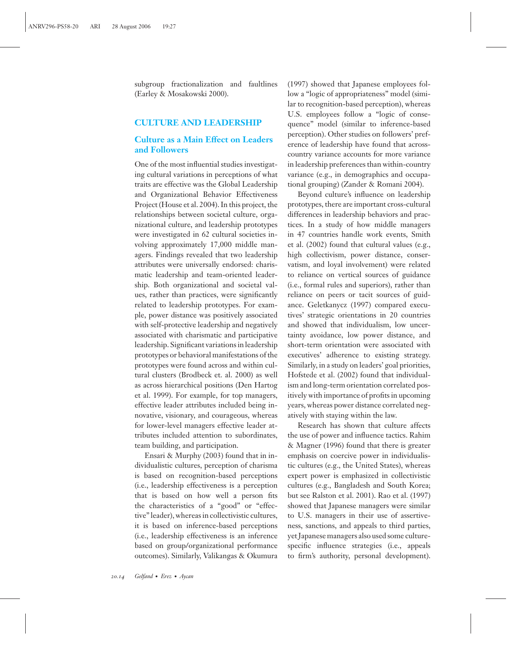subgroup fractionalization and faultlines (Earley & Mosakowski 2000).

#### **CULTURE AND LEADERSHIP**

## **Culture as a Main Effect on Leaders and Followers**

One of the most influential studies investigating cultural variations in perceptions of what traits are effective was the Global Leadership and Organizational Behavior Effectiveness Project (House et al. 2004). In this project, the relationships between societal culture, organizational culture, and leadership prototypes were investigated in 62 cultural societies involving approximately 17,000 middle managers. Findings revealed that two leadership attributes were universally endorsed: charismatic leadership and team-oriented leadership. Both organizational and societal values, rather than practices, were significantly related to leadership prototypes. For example, power distance was positively associated with self-protective leadership and negatively associated with charismatic and participative leadership. Significant variations in leadership prototypes or behavioral manifestations of the prototypes were found across and within cultural clusters (Brodbeck et. al. 2000) as well as across hierarchical positions (Den Hartog et al. 1999). For example, for top managers, effective leader attributes included being innovative, visionary, and courageous, whereas for lower-level managers effective leader attributes included attention to subordinates, team building, and participation.

Ensari & Murphy (2003) found that in individualistic cultures, perception of charisma is based on recognition-based perceptions (i.e., leadership effectiveness is a perception that is based on how well a person fits the characteristics of a "good" or "effective" leader), whereas in collectivistic cultures, it is based on inference-based perceptions (i.e., leadership effectiveness is an inference based on group/organizational performance outcomes). Similarly, Valikangas & Okumura

(1997) showed that Japanese employees follow a "logic of appropriateness" model (similar to recognition-based perception), whereas U.S. employees follow a "logic of consequence" model (similar to inference-based perception). Other studies on followers' preference of leadership have found that acrosscountry variance accounts for more variance in leadership preferences than within-country variance (e.g., in demographics and occupational grouping) (Zander & Romani 2004).

Beyond culture's influence on leadership prototypes, there are important cross-cultural differences in leadership behaviors and practices. In a study of how middle managers in 47 countries handle work events, Smith et al. (2002) found that cultural values (e.g., high collectivism, power distance, conservatism, and loyal involvement) were related to reliance on vertical sources of guidance (i.e., formal rules and superiors), rather than reliance on peers or tacit sources of guidance. Geletkanycz (1997) compared executives' strategic orientations in 20 countries and showed that individualism, low uncertainty avoidance, low power distance, and short-term orientation were associated with executives' adherence to existing strategy. Similarly, in a study on leaders' goal priorities, Hofstede et al. (2002) found that individualism and long-term orientation correlated positively with importance of profits in upcoming years, whereas power distance correlated negatively with staying within the law.

Research has shown that culture affects the use of power and influence tactics. Rahim & Magner (1996) found that there is greater emphasis on coercive power in individualistic cultures (e.g., the United States), whereas expert power is emphasized in collectivistic cultures (e.g., Bangladesh and South Korea; but see Ralston et al. 2001). Rao et al. (1997) showed that Japanese managers were similar to U.S. managers in their use of assertiveness, sanctions, and appeals to third parties, yet Japanese managers also used some culturespecific influence strategies (i.e., appeals to firm's authority, personal development).

*20.14 Gelfand* · *Erez* · *Aycan*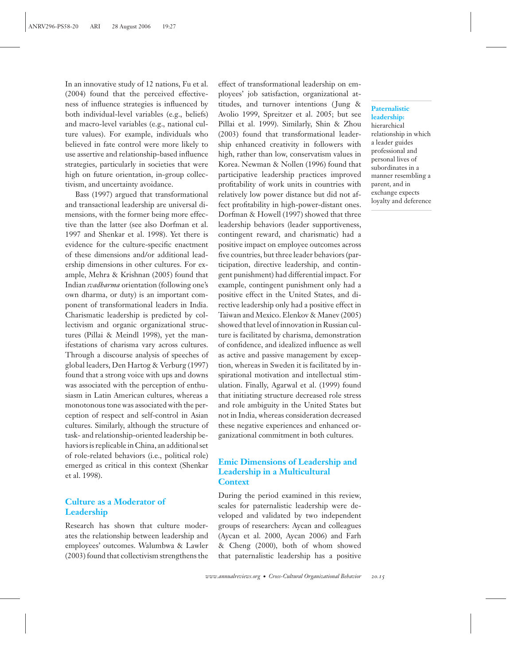In an innovative study of 12 nations, Fu et al. (2004) found that the perceived effectiveness of influence strategies is influenced by both individual-level variables (e.g., beliefs) and macro-level variables (e.g., national culture values). For example, individuals who believed in fate control were more likely to use assertive and relationship-based influence strategies, particularly in societies that were high on future orientation, in-group collectivism, and uncertainty avoidance.

Bass (1997) argued that transformational and transactional leadership are universal dimensions, with the former being more effective than the latter (see also Dorfman et al. 1997 and Shenkar et al. 1998). Yet there is evidence for the culture-specific enactment of these dimensions and/or additional leadership dimensions in other cultures. For example, Mehra & Krishnan (2005) found that Indian *svadharma* orientation (following one's own dharma, or duty) is an important component of transformational leaders in India. Charismatic leadership is predicted by collectivism and organic organizational structures (Pillai & Meindl 1998), yet the manifestations of charisma vary across cultures. Through a discourse analysis of speeches of global leaders, Den Hartog & Verburg (1997) found that a strong voice with ups and downs was associated with the perception of enthusiasm in Latin American cultures, whereas a monotonous tone was associated with the perception of respect and self-control in Asian cultures. Similarly, although the structure of task- and relationship-oriented leadership behaviors is replicable in China, an additional set of role-related behaviors (i.e., political role) emerged as critical in this context (Shenkar et al. 1998).

## **Culture as a Moderator of Leadership**

Research has shown that culture moderates the relationship between leadership and employees' outcomes. Walumbwa & Lawler (2003) found that collectivism strengthens the

effect of transformational leadership on employees' job satisfaction, organizational attitudes, and turnover intentions ( Jung & Avolio 1999, Spreitzer et al. 2005; but see Pillai et al. 1999). Similarly, Shin & Zhou (2003) found that transformational leadership enhanced creativity in followers with high, rather than low, conservatism values in Korea. Newman & Nollen (1996) found that participative leadership practices improved profitability of work units in countries with relatively low power distance but did not affect profitability in high-power-distant ones. Dorfman & Howell (1997) showed that three leadership behaviors (leader supportiveness, contingent reward, and charismatic) had a positive impact on employee outcomes across five countries, but three leader behaviors (participation, directive leadership, and contingent punishment) had differential impact. For example, contingent punishment only had a positive effect in the United States, and directive leadership only had a positive effect in Taiwan and Mexico. Elenkov & Manev (2005) showed that level of innovation in Russian culture is facilitated by charisma, demonstration of confidence, and idealized influence as well as active and passive management by exception, whereas in Sweden it is facilitated by inspirational motivation and intellectual stimulation. Finally, Agarwal et al. (1999) found that initiating structure decreased role stress and role ambiguity in the United States but not in India, whereas consideration decreased these negative experiences and enhanced organizational commitment in both cultures.

## **Emic Dimensions of Leadership and Leadership in a Multicultural Context**

During the period examined in this review, scales for paternalistic leadership were developed and validated by two independent groups of researchers: Aycan and colleagues (Aycan et al. 2000, Aycan 2006) and Farh & Cheng (2000), both of whom showed that paternalistic leadership has a positive

#### **Paternalistic leadership:**

hierarchical relationship in which a leader guides professional and personal lives of subordinates in a manner resembling a parent, and in exchange expects loyalty and deference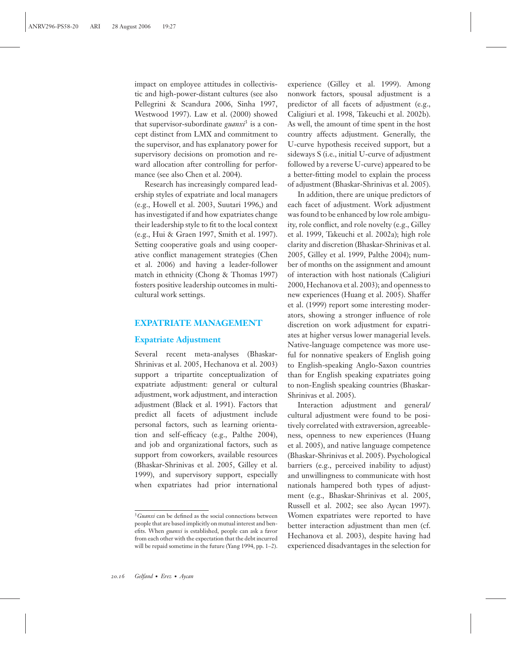impact on employee attitudes in collectivistic and high-power-distant cultures (see also Pellegrini & Scandura 2006, Sinha 1997, Westwood 1997). Law et al. (2000) showed that supervisor-subordinate *guanxi*<sup>3</sup> is a concept distinct from LMX and commitment to the supervisor, and has explanatory power for supervisory decisions on promotion and reward allocation after controlling for performance (see also Chen et al. 2004).

Research has increasingly compared leadership styles of expatriate and local managers (e.g., Howell et al. 2003, Suutari 1996,) and has investigated if and how expatriates change their leadership style to fit to the local context (e.g., Hui & Graen 1997, Smith et al. 1997). Setting cooperative goals and using cooperative conflict management strategies (Chen et al. 2006) and having a leader-follower match in ethnicity (Chong & Thomas 1997) fosters positive leadership outcomes in multicultural work settings.

#### **EXPATRIATE MANAGEMENT**

#### **Expatriate Adjustment**

Several recent meta-analyses (Bhaskar-Shrinivas et al. 2005, Hechanova et al. 2003) support a tripartite conceptualization of expatriate adjustment: general or cultural adjustment, work adjustment, and interaction adjustment (Black et al. 1991). Factors that predict all facets of adjustment include personal factors, such as learning orientation and self-efficacy (e.g., Palthe 2004), and job and organizational factors, such as support from coworkers, available resources (Bhaskar-Shrinivas et al. 2005, Gilley et al. 1999), and supervisory support, especially when expatriates had prior international

experience (Gilley et al. 1999). Among nonwork factors, spousal adjustment is a predictor of all facets of adjustment (e.g., Caligiuri et al. 1998, Takeuchi et al. 2002b). As well, the amount of time spent in the host country affects adjustment. Generally, the U-curve hypothesis received support, but a sideways S (i.e., initial U-curve of adjustment followed by a reverse U-curve) appeared to be a better-fitting model to explain the process of adjustment (Bhaskar-Shrinivas et al. 2005).

In addition, there are unique predictors of each facet of adjustment. Work adjustment was found to be enhanced by low role ambiguity, role conflict, and role novelty (e.g., Gilley et al. 1999, Takeuchi et al. 2002a); high role clarity and discretion (Bhaskar-Shrinivas et al. 2005, Gilley et al. 1999, Palthe 2004); number of months on the assignment and amount of interaction with host nationals (Caligiuri 2000, Hechanova et al. 2003); and openness to new experiences (Huang et al. 2005). Shaffer et al. (1999) report some interesting moderators, showing a stronger influence of role discretion on work adjustment for expatriates at higher versus lower managerial levels. Native-language competence was more useful for nonnative speakers of English going to English-speaking Anglo-Saxon countries than for English speaking expatriates going to non-English speaking countries (Bhaskar-Shrinivas et al. 2005).

Interaction adjustment and general/ cultural adjustment were found to be positively correlated with extraversion, agreeableness, openness to new experiences (Huang et al. 2005), and native language competence (Bhaskar-Shrinivas et al. 2005). Psychological barriers (e.g., perceived inability to adjust) and unwillingness to communicate with host nationals hampered both types of adjustment (e.g., Bhaskar-Shrinivas et al. 2005, Russell et al. 2002; see also Aycan 1997). Women expatriates were reported to have better interaction adjustment than men (cf. Hechanova et al. 2003), despite having had experienced disadvantages in the selection for

<sup>3</sup>*Guanxi* can be defined as the social connections between people that are based implicitly on mutual interest and benefits. When *guanxi* is established, people can ask a favor from each other with the expectation that the debt incurred will be repaid sometime in the future (Yang 1994, pp. 1–2).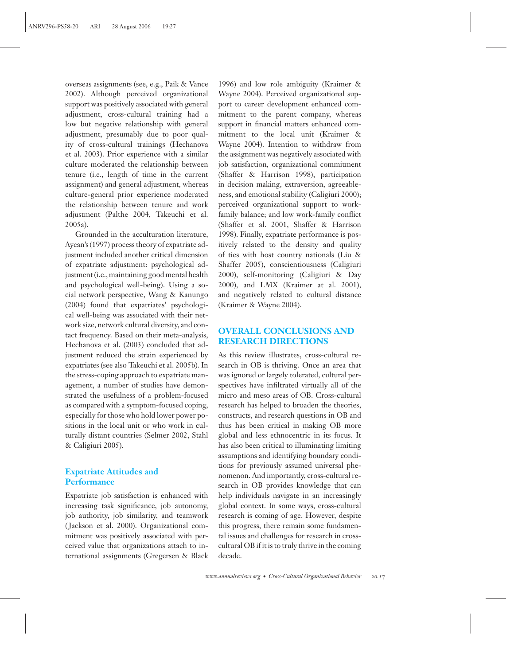overseas assignments (see, e.g., Paik & Vance 2002). Although perceived organizational support was positively associated with general adjustment, cross-cultural training had a low but negative relationship with general adjustment, presumably due to poor quality of cross-cultural trainings (Hechanova et al. 2003). Prior experience with a similar culture moderated the relationship between tenure (i.e., length of time in the current assignment) and general adjustment, whereas culture-general prior experience moderated the relationship between tenure and work adjustment (Palthe 2004, Takeuchi et al. 2005a).

Grounded in the acculturation literature, Aycan's (1997) process theory of expatriate adjustment included another critical dimension of expatriate adjustment: psychological adjustment (i.e., maintaining good mental health and psychological well-being). Using a social network perspective, Wang & Kanungo (2004) found that expatriates' psychological well-being was associated with their network size, network cultural diversity, and contact frequency. Based on their meta-analysis, Hechanova et al. (2003) concluded that adjustment reduced the strain experienced by expatriates (see also Takeuchi et al. 2005b). In the stress-coping approach to expatriate management, a number of studies have demonstrated the usefulness of a problem-focused as compared with a symptom-focused coping, especially for those who hold lower power positions in the local unit or who work in culturally distant countries (Selmer 2002, Stahl & Caligiuri 2005).

## **Expatriate Attitudes and Performance**

Expatriate job satisfaction is enhanced with increasing task significance, job autonomy, job authority, job similarity, and teamwork ( Jackson et al. 2000). Organizational commitment was positively associated with perceived value that organizations attach to international assignments (Gregersen & Black

1996) and low role ambiguity (Kraimer & Wayne 2004). Perceived organizational support to career development enhanced commitment to the parent company, whereas support in financial matters enhanced commitment to the local unit (Kraimer & Wayne 2004). Intention to withdraw from the assignment was negatively associated with job satisfaction, organizational commitment (Shaffer & Harrison 1998), participation in decision making, extraversion, agreeableness, and emotional stability (Caligiuri 2000); perceived organizational support to workfamily balance; and low work-family conflict (Shaffer et al. 2001, Shaffer & Harrison 1998). Finally, expatriate performance is positively related to the density and quality of ties with host country nationals (Liu & Shaffer 2005), conscientiousness (Caligiuri 2000), self-monitoring (Caligiuri & Day 2000), and LMX (Kraimer at al. 2001), and negatively related to cultural distance (Kraimer & Wayne 2004).

## **OVERALL CONCLUSIONS AND RESEARCH DIRECTIONS**

As this review illustrates, cross-cultural research in OB is thriving. Once an area that was ignored or largely tolerated, cultural perspectives have infiltrated virtually all of the micro and meso areas of OB. Cross-cultural research has helped to broaden the theories, constructs, and research questions in OB and thus has been critical in making OB more global and less ethnocentric in its focus. It has also been critical to illuminating limiting assumptions and identifying boundary conditions for previously assumed universal phenomenon. And importantly, cross-cultural research in OB provides knowledge that can help individuals navigate in an increasingly global context. In some ways, cross-cultural research is coming of age. However, despite this progress, there remain some fundamental issues and challenges for research in crosscultural OB if it is to truly thrive in the coming decade.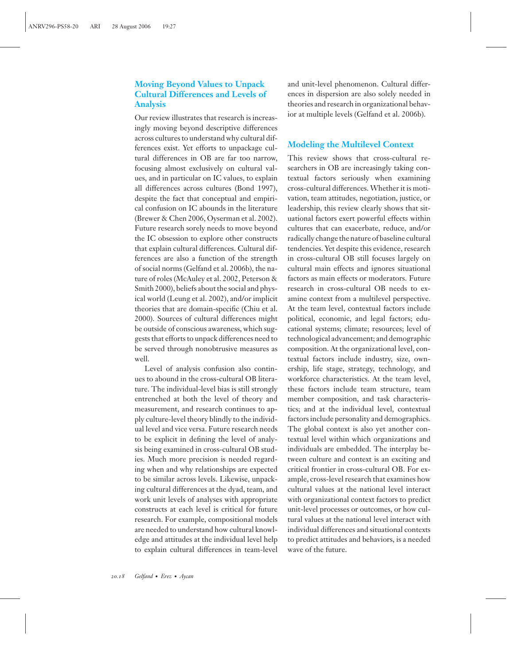## **Moving Beyond Values to Unpack Cultural Differences and Levels of Analysis**

Our review illustrates that research is increasingly moving beyond descriptive differences across cultures to understand why cultural differences exist. Yet efforts to unpackage cultural differences in OB are far too narrow, focusing almost exclusively on cultural values, and in particular on IC values, to explain all differences across cultures (Bond 1997), despite the fact that conceptual and empirical confusion on IC abounds in the literature (Brewer & Chen 2006, Oyserman et al. 2002). Future research sorely needs to move beyond the IC obsession to explore other constructs that explain cultural differences. Cultural differences are also a function of the strength of social norms (Gelfand et al. 2006b), the nature of roles (McAuley et al. 2002, Peterson & Smith 2000), beliefs about the social and physical world (Leung et al. 2002), and/or implicit theories that are domain-specific (Chiu et al. 2000). Sources of cultural differences might be outside of conscious awareness, which suggests that efforts to unpack differences need to be served through nonobtrusive measures as well.

Level of analysis confusion also continues to abound in the cross-cultural OB literature. The individual-level bias is still strongly entrenched at both the level of theory and measurement, and research continues to apply culture-level theory blindly to the individual level and vice versa. Future research needs to be explicit in defining the level of analysis being examined in cross-cultural OB studies. Much more precision is needed regarding when and why relationships are expected to be similar across levels. Likewise, unpacking cultural differences at the dyad, team, and work unit levels of analyses with appropriate constructs at each level is critical for future research. For example, compositional models are needed to understand how cultural knowledge and attitudes at the individual level help to explain cultural differences in team-level

and unit-level phenomenon. Cultural differences in dispersion are also solely needed in theories and research in organizational behavior at multiple levels (Gelfand et al. 2006b).

#### **Modeling the Multilevel Context**

This review shows that cross-cultural researchers in OB are increasingly taking contextual factors seriously when examining cross-cultural differences. Whether it is motivation, team attitudes, negotiation, justice, or leadership, this review clearly shows that situational factors exert powerful effects within cultures that can exacerbate, reduce, and/or radically change the nature of baseline cultural tendencies. Yet despite this evidence, research in cross-cultural OB still focuses largely on cultural main effects and ignores situational factors as main effects or moderators. Future research in cross-cultural OB needs to examine context from a multilevel perspective. At the team level, contextual factors include political, economic, and legal factors; educational systems; climate; resources; level of technological advancement; and demographic composition. At the organizational level, contextual factors include industry, size, ownership, life stage, strategy, technology, and workforce characteristics. At the team level, these factors include team structure, team member composition, and task characteristics; and at the individual level, contextual factors include personality and demographics. The global context is also yet another contextual level within which organizations and individuals are embedded. The interplay between culture and context is an exciting and critical frontier in cross-cultural OB. For example, cross-level research that examines how cultural values at the national level interact with organizational context factors to predict unit-level processes or outcomes, or how cultural values at the national level interact with individual differences and situational contexts to predict attitudes and behaviors, is a needed wave of the future.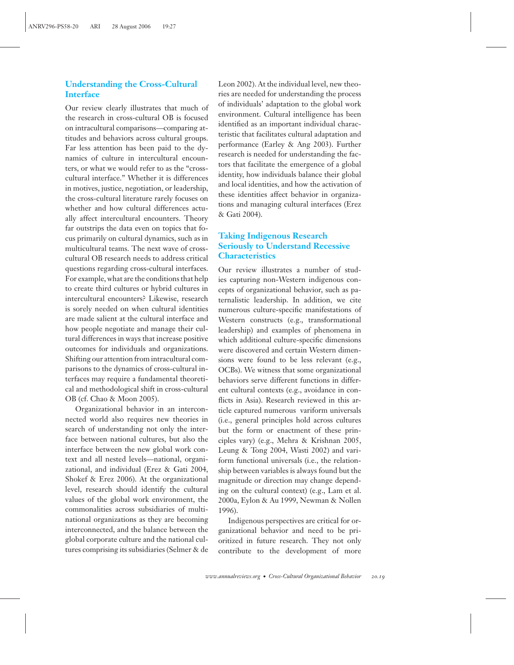## **Understanding the Cross-Cultural Interface**

Our review clearly illustrates that much of the research in cross-cultural OB is focused on intracultural comparisons—comparing attitudes and behaviors across cultural groups. Far less attention has been paid to the dynamics of culture in intercultural encounters, or what we would refer to as the "crosscultural interface." Whether it is differences in motives, justice, negotiation, or leadership, the cross-cultural literature rarely focuses on whether and how cultural differences actually affect intercultural encounters. Theory far outstrips the data even on topics that focus primarily on cultural dynamics, such as in multicultural teams. The next wave of crosscultural OB research needs to address critical questions regarding cross-cultural interfaces. For example, what are the conditions that help to create third cultures or hybrid cultures in intercultural encounters? Likewise, research is sorely needed on when cultural identities are made salient at the cultural interface and how people negotiate and manage their cultural differences in ways that increase positive outcomes for individuals and organizations. Shifting our attention from intracultural comparisons to the dynamics of cross-cultural interfaces may require a fundamental theoretical and methodological shift in cross-cultural OB (cf. Chao & Moon 2005).

Organizational behavior in an interconnected world also requires new theories in search of understanding not only the interface between national cultures, but also the interface between the new global work context and all nested levels—national, organizational, and individual (Erez & Gati 2004, Shokef & Erez 2006). At the organizational level, research should identify the cultural values of the global work environment, the commonalities across subsidiaries of multinational organizations as they are becoming interconnected, and the balance between the global corporate culture and the national cultures comprising its subsidiaries (Selmer & de

Leon 2002). At the individual level, new theories are needed for understanding the process of individuals' adaptation to the global work environment. Cultural intelligence has been identified as an important individual characteristic that facilitates cultural adaptation and performance (Earley & Ang 2003). Further research is needed for understanding the factors that facilitate the emergence of a global identity, how individuals balance their global and local identities, and how the activation of these identities affect behavior in organizations and managing cultural interfaces (Erez & Gati 2004).

## **Taking Indigenous Research Seriously to Understand Recessive Characteristics**

Our review illustrates a number of studies capturing non-Western indigenous concepts of organizational behavior, such as paternalistic leadership. In addition, we cite numerous culture-specific manifestations of Western constructs (e.g., transformational leadership) and examples of phenomena in which additional culture-specific dimensions were discovered and certain Western dimensions were found to be less relevant (e.g., OCBs). We witness that some organizational behaviors serve different functions in different cultural contexts (e.g., avoidance in conflicts in Asia). Research reviewed in this article captured numerous variform universals (i.e., general principles hold across cultures but the form or enactment of these principles vary) (e.g., Mehra & Krishnan 2005, Leung & Tong 2004, Wasti 2002) and variform functional universals (i.e., the relationship between variables is always found but the magnitude or direction may change depending on the cultural context) (e.g., Lam et al. 2000a, Eylon & Au 1999, Newman & Nollen 1996).

Indigenous perspectives are critical for organizational behavior and need to be prioritized in future research. They not only contribute to the development of more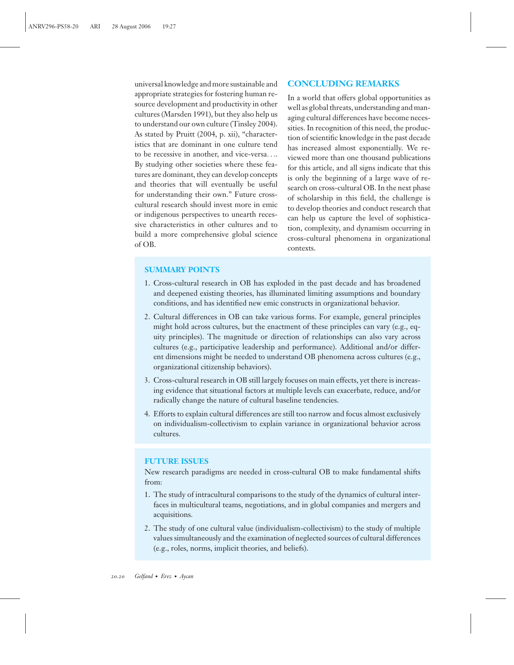universal knowledge and more sustainable and appropriate strategies for fostering human resource development and productivity in other cultures (Marsden 1991), but they also help us to understand our own culture (Tinsley 2004). As stated by Pruitt (2004, p. xii), "characteristics that are dominant in one culture tend to be recessive in another, and vice-versa.... By studying other societies where these features are dominant, they can develop concepts and theories that will eventually be useful for understanding their own." Future crosscultural research should invest more in emic or indigenous perspectives to unearth recessive characteristics in other cultures and to build a more comprehensive global science of OB.

#### **CONCLUDING REMARKS**

In a world that offers global opportunities as well as global threats, understanding and managing cultural differences have become necessities. In recognition of this need, the production of scientific knowledge in the past decade has increased almost exponentially. We reviewed more than one thousand publications for this article, and all signs indicate that this is only the beginning of a large wave of research on cross-cultural OB. In the next phase of scholarship in this field, the challenge is to develop theories and conduct research that can help us capture the level of sophistication, complexity, and dynamism occurring in cross-cultural phenomena in organizational contexts.

#### **SUMMARY POINTS**

- 1. Cross-cultural research in OB has exploded in the past decade and has broadened and deepened existing theories, has illuminated limiting assumptions and boundary conditions, and has identified new emic constructs in organizational behavior.
- 2. Cultural differences in OB can take various forms. For example, general principles might hold across cultures, but the enactment of these principles can vary (e.g., equity principles). The magnitude or direction of relationships can also vary across cultures (e.g., participative leadership and performance). Additional and/or different dimensions might be needed to understand OB phenomena across cultures (e.g., organizational citizenship behaviors).
- 3. Cross-cultural research in OB still largely focuses on main effects, yet there is increasing evidence that situational factors at multiple levels can exacerbate, reduce, and/or radically change the nature of cultural baseline tendencies.
- 4. Efforts to explain cultural differences are still too narrow and focus almost exclusively on individualism-collectivism to explain variance in organizational behavior across cultures.

#### **FUTURE ISSUES**

New research paradigms are needed in cross-cultural OB to make fundamental shifts from:

- 1. The study of intracultural comparisons to the study of the dynamics of cultural interfaces in multicultural teams, negotiations, and in global companies and mergers and acquisitions.
- 2. The study of one cultural value (individualism-collectivism) to the study of multiple values simultaneously and the examination of neglected sources of cultural differences (e.g., roles, norms, implicit theories, and beliefs).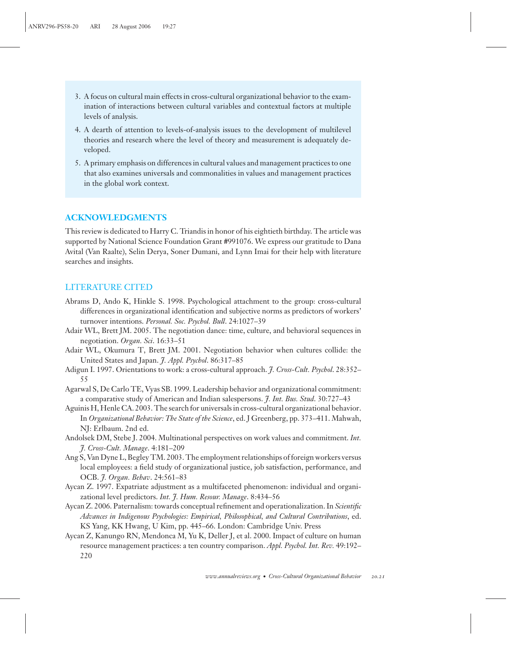- 3. A focus on cultural main effects in cross-cultural organizational behavior to the examination of interactions between cultural variables and contextual factors at multiple levels of analysis.
- 4. A dearth of attention to levels-of-analysis issues to the development of multilevel theories and research where the level of theory and measurement is adequately developed.
- 5. A primary emphasis on differences in cultural values and management practices to one that also examines universals and commonalities in values and management practices in the global work context.

## **ACKNOWLEDGMENTS**

This review is dedicated to Harry C. Triandis in honor of his eightieth birthday. The article was supported by National Science Foundation Grant #991076. We express our gratitude to Dana Avital (Van Raalte), Selin Derya, Soner Dumani, and Lynn Imai for their help with literature searches and insights.

#### LITERATURE CITED

- Abrams D, Ando K, Hinkle S. 1998. Psychological attachment to the group: cross-cultural differences in organizational identification and subjective norms as predictors of workers' turnover intentions. *Personal. Soc. Psychol. Bull*. 24:1027–39
- Adair WL, Brett JM. 2005. The negotiation dance: time, culture, and behavioral sequences in negotiation. *Organ. Sci*. 16:33–51
- Adair WL, Okumura T, Brett JM. 2001. Negotiation behavior when cultures collide: the United States and Japan. *J. Appl. Psychol*. 86:317–85
- Adigun I. 1997. Orientations to work: a cross-cultural approach. *J. Cross-Cult. Psychol*. 28:352– 55
- Agarwal S, De Carlo TE, Vyas SB. 1999. Leadership behavior and organizational commitment: a comparative study of American and Indian salespersons. *J. Int. Bus. Stud*. 30:727–43
- Aguinis H, Henle CA. 2003. The search for universals in cross-cultural organizational behavior. In *Organizational Behavior: The State of the Science*, ed. J Greenberg, pp. 373–411. Mahwah, NJ: Erlbaum. 2nd ed.
- Andolsek DM, Stebe J. 2004. Multinational perspectives on work values and commitment. *Int. J. Cross-Cult. Manage*. 4:181–209
- Ang S, Van Dyne L, Begley TM. 2003. The employment relationships of foreign workers versus local employees: a field study of organizational justice, job satisfaction, performance, and OCB. *J. Organ. Behav*. 24:561–83
- Aycan Z. 1997. Expatriate adjustment as a multifaceted phenomenon: individual and organizational level predictors. *Int. J. Hum. Resour. Manage*. 8:434–56
- Aycan Z. 2006. Paternalism: towards conceptual refinement and operationalization. In *Scientific Advances in Indigenous Psychologies: Empirical, Philosophical, and Cultural Contributions*, ed. KS Yang, KK Hwang, U Kim, pp. 445–66. London: Cambridge Univ. Press
- Aycan Z, Kanungo RN, Mendonca M, Yu K, Deller J, et al. 2000. Impact of culture on human resource management practices: a ten country comparison. *Appl. Psychol. Int. Rev.* 49:192– 220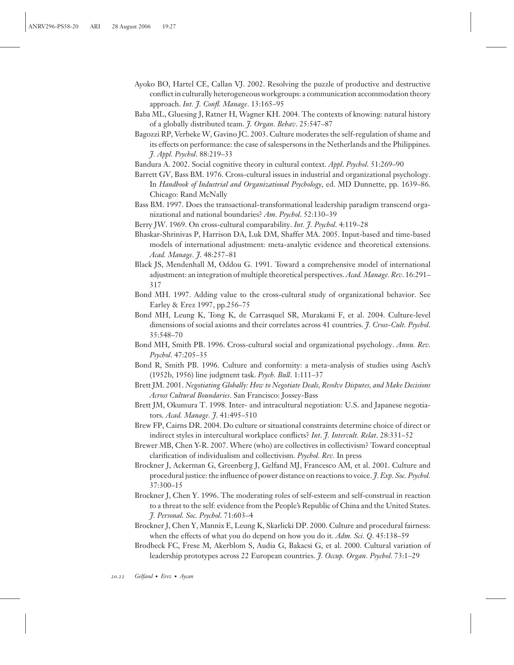- Ayoko BO, Hartel CE, Callan VJ. 2002. Resolving the puzzle of productive and destructive conflict in culturally heterogeneous workgroups: a communication accommodation theory approach. *Int. J. Confl. Manage*. 13:165–95
- Baba ML, Gluesing J, Ratner H, Wagner KH. 2004. The contexts of knowing: natural history of a globally distributed team. *J. Organ. Behav*. 25:547–87
- Bagozzi RP, Verbeke W, Gavino JC. 2003. Culture moderates the self-regulation of shame and its effects on performance: the case of salespersons in the Netherlands and the Philippines. *J. Appl. Psychol*. 88:219–33
- Bandura A. 2002. Social cognitive theory in cultural context. *Appl*. *Psychol*. 51:269–90
- Barrett GV, Bass BM. 1976. Cross-cultural issues in industrial and organizational psychology. In *Handbook of Industrial and Organizational Psychology*, ed. MD Dunnette, pp. 1639–86. Chicago: Rand McNally
- Bass BM. 1997. Does the transactional-transformational leadership paradigm transcend organizational and national boundaries? *Am*. *Psychol*. 52:130–39
- Berry JW. 1969. On cross-cultural comparability. *Int. J. Psychol*. 4:119–28
- Bhaskar-Shrinivas P, Harrison DA, Luk DM, Shaffer MA. 2005. Input-based and time-based models of international adjustment: meta-analytic evidence and theoretical extensions. *Acad. Manage. J*. 48:257–81
- Black JS, Mendenhall M, Oddou G. 1991. Toward a comprehensive model of international adjustment: an integration of multiple theoretical perspectives.*Acad. Manage. Rev*. 16:291– 317
- Bond MH. 1997. Adding value to the cross-cultural study of organizational behavior. See Earley & Erez 1997, pp.256–75
- Bond MH, Leung K, Tong K, de Carrasquel SR, Murakami F, et al. 2004. Culture-level dimensions of social axioms and their correlates across 41 countries. *J. Cross-Cult. Psychol*. 35:548–70
- Bond MH, Smith PB. 1996. Cross-cultural social and organizational psychology. *Annu. Rev. Psychol*. 47:205–35
- Bond R, Smith PB. 1996. Culture and conformity: a meta-analysis of studies using Asch's (1952b, 1956) line judgment task. *Psych. Bull*. 1:111–37
- Brett JM. 2001. *Negotiating Globally: How to Negotiate Deals, Resolve Disputes, and Make Decisions Across Cultural Boundaries*. San Francisco: Jossey-Bass
- Brett JM, Okumura T. 1998. Inter- and intracultural negotiation: U.S. and Japanese negotiators. *Acad. Manage. J*. 41:495–510
- Brew FP, Cairns DR. 2004. Do culture or situational constraints determine choice of direct or indirect styles in intercultural workplace conflicts? *Int*. *J. Intercult. Relat*. 28:331–52
- Brewer MB, Chen Y-R. 2007. Where (who) are collectives in collectivism? Toward conceptual clarification of individualism and collectivism. *Psychol. Rev.* In press
- Brockner J, Ackerman G, Greenberg J, Gelfand MJ, Francesco AM, et al. 2001. Culture and procedural justice: the influence of power distance on reactions to voice. *J. Exp. Soc. Psychol.* 37:300–15
- Brockner J, Chen Y. 1996. The moderating roles of self-esteem and self-construal in reaction to a threat to the self: evidence from the People's Republic of China and the United States. *J. Personal. Soc. Psychol*. 71:603–4
- Brockner J, Chen Y, Mannix E, Leung K, Skarlicki DP. 2000. Culture and procedural fairness: when the effects of what you do depend on how you do it. *Adm. Sci. Q*. 45:138–59
- Brodbeck FC, Frese M, Akerblom S, Audia G, Bakacsi G, et al. 2000. Cultural variation of leadership prototypes across 22 European countries. *J. Occup. Organ. Psychol.* 73:1–29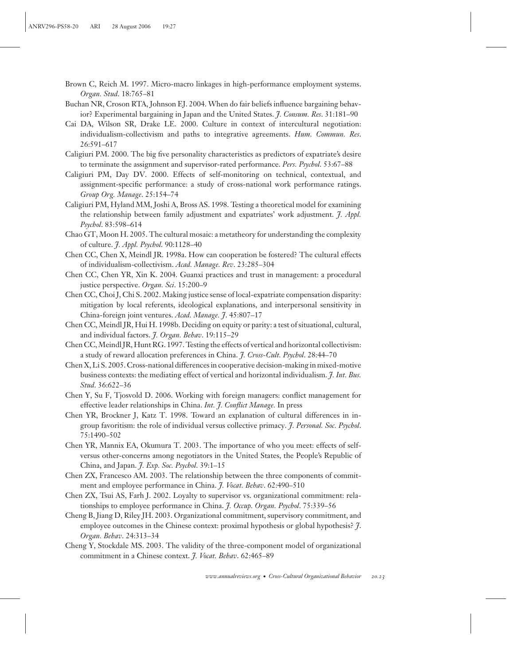- Brown C, Reich M. 1997. Micro-macro linkages in high-performance employment systems. *Organ. Stud*. 18:765–81
- Buchan NR, Croson RTA, Johnson EJ. 2004. When do fair beliefs influence bargaining behavior? Experimental bargaining in Japan and the United States. *J. Consum. Res*. 31:181–90
- Cai DA, Wilson SR, Drake LE. 2000. Culture in context of intercultural negotiation: individualism-collectivism and paths to integrative agreements. *Hum. Commun. Res*. 26:591–617
- Caligiuri PM. 2000. The big five personality characteristics as predictors of expatriate's desire to terminate the assignment and supervisor-rated performance. *Pers. Psychol*. 53:67–88
- Caligiuri PM, Day DV. 2000. Effects of self-monitoring on technical, contextual, and assignment-specific performance: a study of cross-national work performance ratings. *Group Org. Manage*. 25:154–74
- Caligiuri PM, Hyland MM, Joshi A, Bross AS. 1998. Testing a theoretical model for examining the relationship between family adjustment and expatriates' work adjustment. *J. Appl. Psychol*. 83:598–614
- Chao GT, Moon H. 2005. The cultural mosaic: a metatheory for understanding the complexity of culture. *J. Appl. Psychol*. 90:1128–40
- Chen CC, Chen X, Meindl JR. 1998a. How can cooperation be fostered? The cultural effects of individualism-collectivism. *Acad. Manage. Rev*. 23:285–304
- Chen CC, Chen YR, Xin K. 2004. Guanxi practices and trust in management: a procedural justice perspective. *Organ. Sci*. 15:200–9
- Chen CC, Choi J, Chi S. 2002. Making justice sense of local-expatriate compensation disparity: mitigation by local referents, ideological explanations, and interpersonal sensitivity in China-foreign joint ventures. *Acad. Manage. J*. 45:807–17
- Chen CC, Meindl JR, Hui H. 1998b. Deciding on equity or parity: a test of situational, cultural, and individual factors. *J. Organ. Behav*. 19:115–29
- Chen CC, Meindl JR, Hunt RG. 1997. Testing the effects of vertical and horizontal collectivism: a study of reward allocation preferences in China. *J. Cross-Cult. Psychol*. 28:44–70
- Chen X, Li S. 2005. Cross-national differences in cooperative decision-making in mixed-motive business contexts: the mediating effect of vertical and horizontal individualism. *J. Int. Bus. Stud*. 36:622–36
- Chen Y, Su F, Tjosvold D. 2006. Working with foreign managers: conflict management for effective leader relationships in China. *Int. J. Conflict Manage.* In press
- Chen YR, Brockner J, Katz T. 1998. Toward an explanation of cultural differences in ingroup favoritism: the role of individual versus collective primacy. *J. Personal. Soc. Psychol*. 75:1490–502
- Chen YR, Mannix EA, Okumura T. 2003. The importance of who you meet: effects of selfversus other-concerns among negotiators in the United States, the People's Republic of China, and Japan. *J. Exp. Soc. Psychol*. 39:1–15
- Chen ZX, Francesco AM. 2003. The relationship between the three components of commitment and employee performance in China. *J. Vocat. Behav*. 62:490–510
- Chen ZX, Tsui AS, Farh J. 2002. Loyalty to supervisor vs. organizational commitment: relationships to employee performance in China. *J. Occup. Organ. Psychol*. 75:339–56
- Cheng B, Jiang D, Riley JH. 2003. Organizational commitment, supervisory commitment, and employee outcomes in the Chinese context: proximal hypothesis or global hypothesis? *J*. *Organ. Behav*. 24:313–34
- Cheng Y, Stockdale MS. 2003. The validity of the three-component model of organizational commitment in a Chinese context. *J. Vocat. Behav*. 62:465–89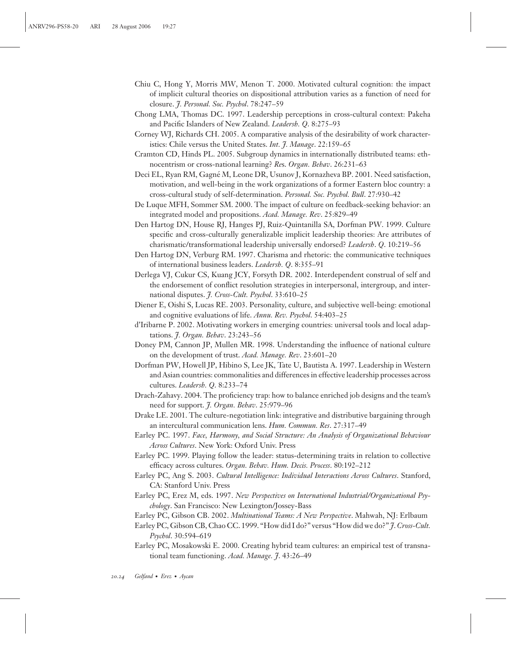- Chiu C, Hong Y, Morris MW, Menon T. 2000. Motivated cultural cognition: the impact of implicit cultural theories on dispositional attribution varies as a function of need for closure. *J. Personal. Soc. Psychol*. 78:247–59
- Chong LMA, Thomas DC. 1997. Leadership perceptions in cross-cultural context: Pakeha and Pacific Islanders of New Zealand. *Leadersh. Q*. 8:275–93
- Corney WJ, Richards CH. 2005. A comparative analysis of the desirability of work characteristics: Chile versus the United States. *Int. J. Manage*. 22:159–65
- Cramton CD, Hinds PL. 2005. Subgroup dynamics in internationally distributed teams: ethnocentrism or cross-national learning? *Re*s. *Organ. Behav*. 26:231–63
- Deci EL, Ryan RM, Gagné M, Leone DR, Usunov J, Kornazheva BP. 2001. Need satisfaction, motivation, and well-being in the work organizations of a former Eastern bloc country: a cross-cultural study of self-determination. *Personal. Soc. Psychol. Bull*. 27:930–42
- De Luque MFH, Sommer SM. 2000. The impact of culture on feedback-seeking behavior: an integrated model and propositions. *Acad. Manage. Rev*. 25:829–49
- Den Hartog DN, House RJ, Hanges PJ, Ruiz-Quintanilla SA, Dorfman PW. 1999. Culture specific and cross-culturally generalizable implicit leadership theories: Are attributes of charismatic/transformational leadership universally endorsed? *Leadersh*. *Q*. 10:219–56
- Den Hartog DN, Verburg RM. 1997. Charisma and rhetoric: the communicative techniques of international business leaders. *Leadersh. Q*. 8:355–91
- Derlega VJ, Cukur CS, Kuang JCY, Forsyth DR. 2002. Interdependent construal of self and the endorsement of conflict resolution strategies in interpersonal, intergroup, and international disputes. *J. Cross-Cult. Psychol*. 33:610–25
- Diener E, Oishi S, Lucas RE. 2003. Personality, culture, and subjective well-being: emotional and cognitive evaluations of life. *Annu. Rev. Psychol*. 54:403–25
- d'Iribarne P. 2002. Motivating workers in emerging countries: universal tools and local adaptations. *J. Organ. Behav*. 23:243–56
- Doney PM, Cannon JP, Mullen MR. 1998. Understanding the influence of national culture on the development of trust. *Acad. Manage. Rev*. 23:601–20
- Dorfman PW, Howell JP, Hibino S, Lee JK, Tate U, Bautista A. 1997. Leadership in Western and Asian countries: commonalities and differences in effective leadership processes across cultures. *Leadersh. Q*. 8:233–74
- Drach-Zahavy. 2004. The proficiency trap: how to balance enriched job designs and the team's need for support. *J. Organ. Behav*. 25:979–96
- Drake LE. 2001. The culture-negotiation link: integrative and distributive bargaining through an intercultural communication lens. *Hum. Commun. Res*. 27:317–49
- Earley PC. 1997. *Face, Harmony, and Social Structure: An Analysis of Organizational Behaviour Across Cultures*. New York: Oxford Univ. Press
- Earley PC. 1999. Playing follow the leader: status-determining traits in relation to collective efficacy across cultures. *Organ. Behav. Hum. Decis. Process*. 80:192–212
- Earley PC, Ang S. 2003. *Cultural Intelligence: Individual Interactions Across Cultures*. Stanford, CA: Stanford Univ. Press
- Earley PC, Erez M, eds. 1997. *New Perspectives on International Industrial/Organizational Psychology*. San Francisco: New Lexington/Jossey-Bass
- Earley PC, Gibson CB. 2002. *Multinational Teams: A New Perspective*. Mahwah, NJ: Erlbaum
- Earley PC, Gibson CB, Chao CC. 1999. "How did I do?" versus "How did we do?" *J*.*Cross-Cult. Psychol*. 30:594–619
- Earley PC, Mosakowski E. 2000. Creating hybrid team cultures: an empirical test of transnational team functioning. *Acad. Manage. J*. 43:26–49

*20.24 Gelfand* · *Erez* · *Aycan*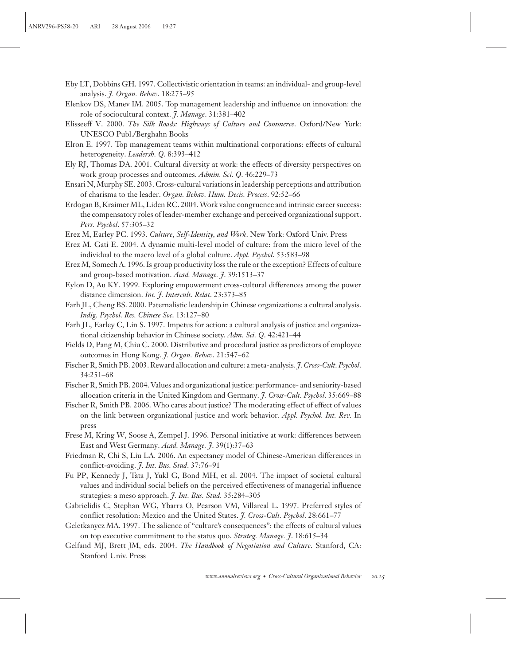- Eby LT, Dobbins GH. 1997. Collectivistic orientation in teams: an individual- and group-level analysis. *J. Organ. Behav*. 18:275–95
- Elenkov DS, Manev IM. 2005. Top management leadership and influence on innovation: the role of sociocultural context. *J. Manage*. 31:381–402
- Elisseeff V. 2000. *The Silk Roads: Highways of Culture and Commerce*. Oxford/New York: UNESCO Publ./Berghahn Books
- Elron E. 1997. Top management teams within multinational corporations: effects of cultural heterogeneity. *Leadersh. Q*. 8:393–412
- Ely RJ, Thomas DA. 2001. Cultural diversity at work: the effects of diversity perspectives on work group processes and outcomes. *Admin. Sci. Q*. 46:229–73
- Ensari N, Murphy SE. 2003. Cross-cultural variations in leadership perceptions and attribution of charisma to the leader. *Organ. Behav. Hum. Decis. Process*. 92:52–66
- Erdogan B, Kraimer ML, Liden RC. 2004. Work value congruence and intrinsic career success: the compensatory roles of leader-member exchange and perceived organizational support. *Pers. Psychol*. 57:305–32
- Erez M, Earley PC. 1993. *Culture, Self-Identity, and Work*. New York: Oxford Univ. Press
- Erez M, Gati E. 2004. A dynamic multi-level model of culture: from the micro level of the individual to the macro level of a global culture. *Appl. Psychol*. 53:583–98
- Erez M, Somech A. 1996. Is group productivity loss the rule or the exception? Effects of culture and group-based motivation. *Acad. Manage. J*. 39:1513–37
- Eylon D, Au KY. 1999. Exploring empowerment cross-cultural differences among the power distance dimension. *Int. J. Intercult. Relat*. 23:373–85
- Farh JL, Cheng BS. 2000. Paternalistic leadership in Chinese organizations: a cultural analysis. *Indig. Psychol. Res. Chinese Soc*. 13:127–80
- Farh JL, Earley C, Lin S. 1997. Impetus for action: a cultural analysis of justice and organizational citizenship behavior in Chinese society. *Adm. Sci. Q*. 42:421–44
- Fields D, Pang M, Chiu C. 2000. Distributive and procedural justice as predictors of employee outcomes in Hong Kong. *J. Organ. Behav*. 21:547–62
- Fischer R, Smith PB. 2003. Reward allocation and culture: a meta-analysis. *J. Cross-Cult. Psychol*. 34:251–68
- Fischer R, Smith PB. 2004. Values and organizational justice: performance- and seniority-based allocation criteria in the United Kingdom and Germany. *J. Cross-Cult. Psychol*. 35:669–88
- Fischer R, Smith PB. 2006. Who cares about justice? The moderating effect of effect of values on the link between organizational justice and work behavior. *Appl. Psychol. Int. Rev.* In press
- Frese M, Kring W, Soose A, Zempel J. 1996. Personal initiative at work: differences between East and West Germany. *Acad. Manage. J*. 39(1):37–63
- Friedman R, Chi S, Liu LA. 2006. An expectancy model of Chinese-American differences in conflict-avoiding. *J. Int. Bus. Stud*. 37:76–91
- Fu PP, Kennedy J, Tata J, Yukl G, Bond MH, et al. 2004. The impact of societal cultural values and individual social beliefs on the perceived effectiveness of managerial influence strategies: a meso approach. *J. Int. Bus. Stud*. 35:284–305
- Gabrielidis C, Stephan WG, Ybarra O, Pearson VM, Villareal L. 1997. Preferred styles of conflict resolution: Mexico and the United States. *J. Cross-Cult. Psychol*. 28:661–77
- Geletkanycz MA. 1997. The salience of "culture's consequences": the effects of cultural values on top executive commitment to the status quo. *Strateg. Manage. J*. 18:615–34
- Gelfand MJ, Brett JM, eds. 2004. *The Handbook of Negotiation and Culture*. Stanford, CA: Stanford Univ. Press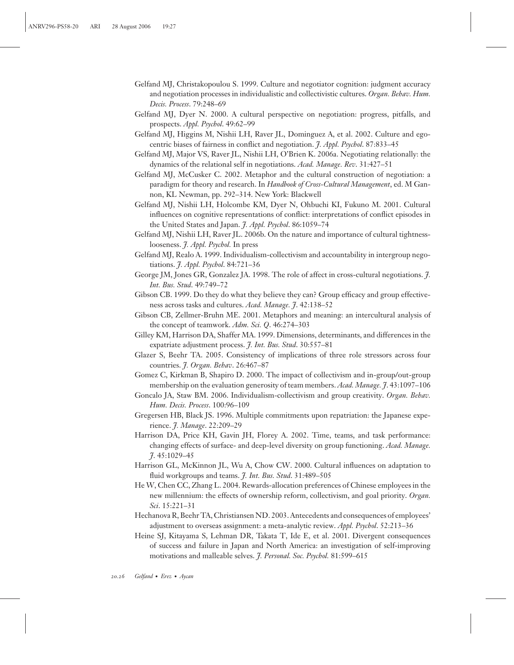- Gelfand MJ, Christakopoulou S. 1999. Culture and negotiator cognition: judgment accuracy and negotiation processes in individualistic and collectivistic cultures. *Organ. Behav. Hum. Decis. Process*. 79:248–69
- Gelfand MJ, Dyer N. 2000. A cultural perspective on negotiation: progress, pitfalls, and prospects. *Appl. Psychol*. 49:62–99
- Gelfand MJ, Higgins M, Nishii LH, Raver JL, Dominguez A, et al. 2002. Culture and egocentric biases of fairness in conflict and negotiation. *J. Appl. Psychol*. 87:833–45
- Gelfand MJ, Major VS, Raver JL, Nishii LH, O'Brien K. 2006a. Negotiating relationally: the dynamics of the relational self in negotiations. *Acad. Manage. Rev*. 31:427–51
- Gelfand MJ, McCusker C. 2002. Metaphor and the cultural construction of negotiation: a paradigm for theory and research. In *Handbook of Cross-Cultural Management*, ed. M Gannon, KL Newman, pp. 292–314. New York: Blackwell
- Gelfand MJ, Nishii LH, Holcombe KM, Dyer N, Ohbuchi KI, Fukuno M. 2001. Cultural influences on cognitive representations of conflict: interpretations of conflict episodes in the United States and Japan. *J. Appl. Psychol*. 86:1059–74
- Gelfand MJ, Nishii LH, Raver JL. 2006b. On the nature and importance of cultural tightnesslooseness. *J. Appl. Psychol.* In press
- Gelfand MJ, Realo A. 1999. Individualism-collectivism and accountability in intergroup negotiations. *J. Appl. Psychol*. 84:721–36
- George JM, Jones GR, Gonzalez JA. 1998. The role of affect in cross-cultural negotiations. *J. Int. Bus. Stud*. 49:749–72
- Gibson CB. 1999. Do they do what they believe they can? Group efficacy and group effectiveness across tasks and cultures. *Acad. Manage. J*. 42:138–52
- Gibson CB, Zellmer-Bruhn ME. 2001. Metaphors and meaning: an intercultural analysis of the concept of teamwork. *Adm. Sci. Q*. 46:274–303
- Gilley KM, Harrison DA, Shaffer MA. 1999. Dimensions, determinants, and differences in the expatriate adjustment process. *J. Int. Bus. Stud*. 30:557–81
- Glazer S, Beehr TA. 2005. Consistency of implications of three role stressors across four countries. *J. Organ. Behav*. 26:467–87
- Gomez C, Kirkman B, Shapiro D. 2000. The impact of collectivism and in-group/out-group membership on the evaluation generosity of team members. *Acad. Manage. J*. 43:1097–106
- Goncalo JA, Staw BM. 2006. Individualism-collectivism and group creativity. *Organ. Behav. Hum. Decis. Process*. 100:96–109
- Gregersen HB, Black JS. 1996. Multiple commitments upon repatriation: the Japanese experience. *J. Manage*. 22:209–29
- Harrison DA, Price KH, Gavin JH, Florey A. 2002. Time, teams, and task performance: changing effects of surface- and deep-level diversity on group functioning. *Acad. Manage. J*. 45:1029–45
- Harrison GL, McKinnon JL, Wu A, Chow CW. 2000. Cultural influences on adaptation to fluid workgroups and teams. *J. Int. Bus. Stud*. 31:489–505
- He W, Chen CC, Zhang L. 2004. Rewards-allocation preferences of Chinese employees in the new millennium: the effects of ownership reform, collectivism, and goal priority. *Organ. Sci*. 15:221–31
- Hechanova R, Beehr TA, Christiansen ND. 2003. Antecedents and consequences of employees' adjustment to overseas assignment: a meta-analytic review. *Appl. Psychol*. 52:213–36
- Heine SJ, Kitayama S, Lehman DR, Takata T, Ide E, et al. 2001. Divergent consequences of success and failure in Japan and North America: an investigation of self-improving motivations and malleable selves. *J. Personal. Soc. Psychol.* 81:599–615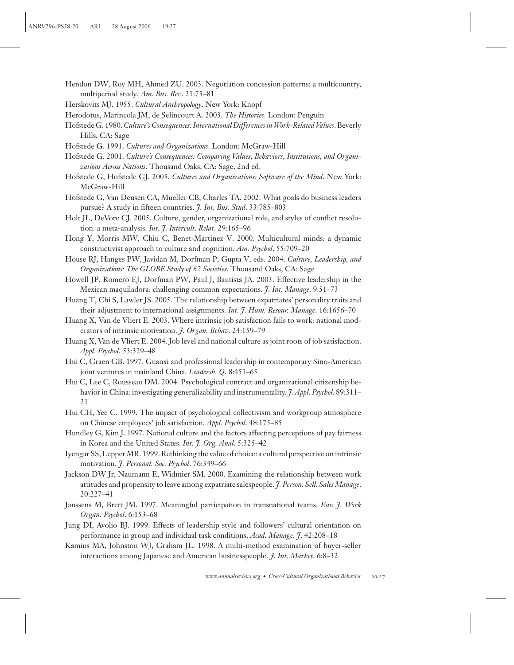Hendon DW, Roy MH, Ahmed ZU. 2003. Negotiation concession patterns: a multicountry, multiperiod study. *Am. Bus. Rev*. 21:75–81

Herskovits MJ. 1955. *Cultural Anthropology*. New York: Knopf

Herodotus, Marincola JM, de Selincourt A. 2003. *The Histories*. London: Penguin

- Hofstede G. 1980.*Culture's Consequences: International Differences in Work-Related Values*. Beverly Hills, CA: Sage
- Hofstede G. 1991. *Cultures and Organizations*. London: McGraw-Hill
- Hofstede G. 2001. *Culture's Consequences: Comparing Values, Behaviors, Institutions, and Organizations Across Nations*. Thousand Oaks, CA: Sage. 2nd ed.
- Hofstede G, Hofstede GJ. 2005. *Cultures and Organizations: Software of the Mind*. New York: McGraw-Hill
- Hofstede G, Van Deusen CA, Mueller CB, Charles TA. 2002. What goals do business leaders pursue? A study in fifteen countries. *J. Int. Bus. Stud*. 33:785–803
- Holt JL, DeVore CJ. 2005. Culture, gender, organizational role, and styles of conflict resolution: a meta-analysis. *Int. J. Intercult. Relat*. 29:165–96
- Hong Y, Morris MW, Chiu C, Benet-Martinez V. 2000. Multicultural minds: a dynamic constructivist approach to culture and cognition. *Am. Psychol*. 55:709–20
- House RJ, Hanges PW, Javidan M, Dorfman P, Gupta V, eds. 2004. *Culture, Leadership, and Organizations: The GLOBE Study of 62 Societies*. Thousand Oaks, CA: Sage
- Howell JP, Romero EJ, Dorfman PW, Paul J, Bautista JA. 2003. Effective leadership in the Mexican maquiladora: challenging common expectations. *J. Int. Manage*. 9:51–73
- Huang T, Chi S, Lawler JS. 2005. The relationship between expatriates' personality traits and their adjustment to international assignments. *Int. J. Hum. Resour. Manage*. 16:1656–70
- Huang X, Van de Vliert E. 2003. Where intrinsic job satisfaction fails to work: national moderators of intrinsic motivation. *J. Organ. Behav*. 24:159–79
- Huang X, Van de Vliert E. 2004. Job level and national culture as joint roots of job satisfaction. *Appl. Psychol*. 53:329–48
- Hui C, Graen GB. 1997. Guanxi and professional leadership in contemporary Sino-American joint ventures in mainland China. *Leadersh. Q*. 8:451–65
- Hui C, Lee C, Rousseau DM. 2004. Psychological contract and organizational citizenship behavior in China: investigating generalizability and instrumentality. *J. Appl. Psychol*. 89:311– 21
- Hui CH, Yee C. 1999. The impact of psychological collectivism and workgroup atmosphere on Chinese employees' job satisfaction. *Appl. Psychol*. 48:175–85
- Hundley G, Kim J. 1997. National culture and the factors affecting perceptions of pay fairness in Korea and the United States. *Int. J. Org. Anal*. 5:325–42
- Iyengar SS, Lepper MR. 1999. Rethinking the value of choice: a cultural perspective on intrinsic motivation. *J. Personal. Soc. Psychol*. 76:349–66
- Jackson DW Jr, Naumann E, Widmier SM. 2000. Examining the relationship between work attitudes and propensity to leave among expatriate salespeople. *J. Person. Sell. Sales Manage*. 20:227–41
- Janssens M, Brett JM. 1997. Meaningful participation in transnational teams. *Eur. J. Work Organ. Psychol*. 6:153–68
- Jung DI, Avolio BJ. 1999. Effects of leadership style and followers' cultural orientation on performance in group and individual task conditions. *Acad. Manage. J*. 42:208–18
- Kamins MA, Johnston WJ, Graham JL. 1998. A multi-method examination of buyer-seller interactions among Japanese and American businesspeople. *J. Int. Market*. 6:8–32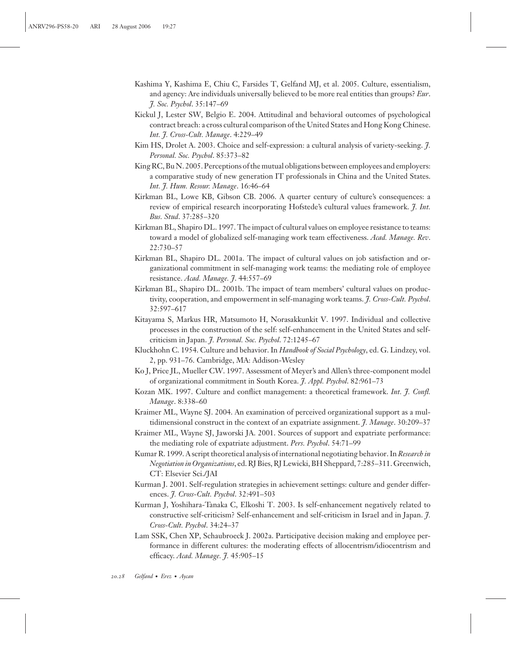- Kashima Y, Kashima E, Chiu C, Farsides T, Gelfand MJ, et al. 2005. Culture, essentialism, and agency: Are individuals universally believed to be more real entities than groups? *Eur*. *J. Soc. Psychol*. 35:147–69
- Kickul J, Lester SW, Belgio E. 2004. Attitudinal and behavioral outcomes of psychological contract breach: a cross cultural comparison of the United States and Hong Kong Chinese. *Int. J. Cross-Cult. Manage*. 4:229–49
- Kim HS, Drolet A. 2003. Choice and self-expression: a cultural analysis of variety-seeking. *J. Personal. Soc. Psychol*. 85:373–82
- King RC, Bu N. 2005. Perceptions of the mutual obligations between employees and employers: a comparative study of new generation IT professionals in China and the United States. *Int. J. Hum. Resour. Manage*. 16:46–64
- Kirkman BL, Lowe KB, Gibson CB. 2006. A quarter century of culture's consequences: a review of empirical research incorporating Hofstede's cultural values framework. *J. Int. Bus. Stud*. 37:285–320
- Kirkman BL, Shapiro DL. 1997. The impact of cultural values on employee resistance to teams: toward a model of globalized self-managing work team effectiveness. *Acad. Manage. Rev*. 22:730–57
- Kirkman BL, Shapiro DL. 2001a. The impact of cultural values on job satisfaction and organizational commitment in self-managing work teams: the mediating role of employee resistance. *Acad. Manage. J*. 44:557–69
- Kirkman BL, Shapiro DL. 2001b. The impact of team members' cultural values on productivity, cooperation, and empowerment in self-managing work teams. *J. Cross-Cult. Psychol*. 32:597–617
- Kitayama S, Markus HR, Matsumoto H, Norasakkunkit V. 1997. Individual and collective processes in the construction of the self: self-enhancement in the United States and selfcriticism in Japan. *J. Personal. Soc. Psychol*. 72:1245–67
- Kluckhohn C. 1954. Culture and behavior. In *Handbook of Social Psychology*, ed. G. Lindzey, vol. 2, pp. 931–76. Cambridge, MA: Addison-Wesley
- Ko J, Price JL, Mueller CW. 1997. Assessment of Meyer's and Allen's three-component model of organizational commitment in South Korea. *J. Appl. Psychol*. 82:961–73
- Kozan MK. 1997. Culture and conflict management: a theoretical framework. *Int. J. Confl. Manage*. 8:338–60
- Kraimer ML, Wayne SJ. 2004. An examination of perceived organizational support as a multidimensional construct in the context of an expatriate assignment. *J. Manage*. 30:209–37
- Kraimer ML, Wayne SJ, Jaworski JA. 2001. Sources of support and expatriate performance: the mediating role of expatriate adjustment. *Pers. Psychol*. 54:71–99
- Kumar R. 1999. A script theoretical analysis of international negotiating behavior. In *Research in Negotiation in Organizations*, ed. RJ Bies, RJ Lewicki, BH Sheppard, 7:285–311. Greenwich, CT: Elsevier Sci./JAI
- Kurman J. 2001. Self-regulation strategies in achievement settings: culture and gender differences. *J. Cross-Cult. Psychol*. 32:491–503
- Kurman J, Yoshihara-Tanaka C, Elkoshi T. 2003. Is self-enhancement negatively related to constructive self-criticism? Self-enhancement and self-criticism in Israel and in Japan. *J. Cross-Cult. Psychol*. 34:24–37
- Lam SSK, Chen XP, Schaubroeck J. 2002a. Participative decision making and employee performance in different cultures: the moderating effects of allocentrism/idiocentrism and efficacy. *Acad. Manage. J.* 45:905–15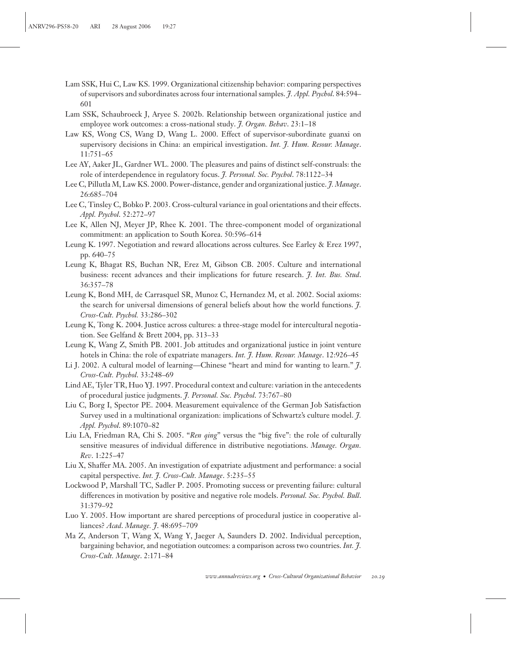- Lam SSK, Hui C, Law KS. 1999. Organizational citizenship behavior: comparing perspectives of supervisors and subordinates across four international samples. *J. Appl. Psychol*. 84:594– 601
- Lam SSK, Schaubroeck J, Aryee S. 2002b. Relationship between organizational justice and employee work outcomes: a cross-national study. *J. Organ. Behav*. 23:1–18
- Law KS, Wong CS, Wang D, Wang L. 2000. Effect of supervisor-subordinate guanxi on supervisory decisions in China: an empirical investigation. *Int. J. Hum. Resour. Manage*. 11:751–65
- Lee AY, Aaker JL, Gardner WL. 2000. The pleasures and pains of distinct self-construals: the role of interdependence in regulatory focus. *J. Personal. Soc. Psychol*. 78:1122–34
- Lee C, Pillutla M, Law KS. 2000. Power-distance, gender and organizational justice. *J. Manage*. 26:685–704
- Lee C, Tinsley C, Bobko P. 2003. Cross-cultural variance in goal orientations and their effects. *Appl. Psychol*. 52:272–97
- Lee K, Allen NJ, Meyer JP, Rhee K. 2001. The three-component model of organizational commitment: an application to South Korea. 50:596–614
- Leung K. 1997. Negotiation and reward allocations across cultures. See Earley & Erez 1997, pp. 640–75
- Leung K, Bhagat RS, Buchan NR, Erez M, Gibson CB. 2005. Culture and international business: recent advances and their implications for future research. *J. Int. Bus. Stud*. 36:357–78
- Leung K, Bond MH, de Carrasquel SR, Munoz C, Hernandez M, et al. 2002. Social axioms: the search for universal dimensions of general beliefs about how the world functions. *J. Cross-Cult. Psychol.* 33:286–302
- Leung K, Tong K. 2004. Justice across cultures: a three-stage model for intercultural negotiation. See Gelfand & Brett 2004, pp. 313–33
- Leung K, Wang Z, Smith PB. 2001. Job attitudes and organizational justice in joint venture hotels in China: the role of expatriate managers. *Int. J. Hum. Resour. Manage*. 12:926–45
- Li J. 2002. A cultural model of learning—Chinese "heart and mind for wanting to learn." *J*. *Cross-Cult. Psychol*. 33:248–69
- Lind AE, Tyler TR, Huo YJ. 1997. Procedural context and culture: variation in the antecedents of procedural justice judgments. *J. Personal. Soc. Psychol*. 73:767–80
- Liu C, Borg I, Spector PE. 2004. Measurement equivalence of the German Job Satisfaction Survey used in a multinational organization: implications of Schwartz's culture model. *J. Appl. Psychol*. 89:1070–82
- Liu LA, Friedman RA, Chi S. 2005. "*Ren qing*" versus the "big five": the role of culturally sensitive measures of individual difference in distributive negotiations. *Manage. Organ. Rev*. 1:225–47
- Liu X, Shaffer MA. 2005. An investigation of expatriate adjustment and performance: a social capital perspective. *Int. J. Cross-Cult. Manage*. 5:235–55
- Lockwood P, Marshall TC, Sadler P. 2005. Promoting success or preventing failure: cultural differences in motivation by positive and negative role models. *Personal. Soc. Psychol. Bull*. 31:379–92
- Luo Y. 2005. How important are shared perceptions of procedural justice in cooperative alliances? *Acad*. *Manage. J*. 48:695–709
- Ma Z, Anderson T, Wang X, Wang Y, Jaeger A, Saunders D. 2002. Individual perception, bargaining behavior, and negotiation outcomes: a comparison across two countries. *Int. J. Cross-Cult. Manage*. 2:171–84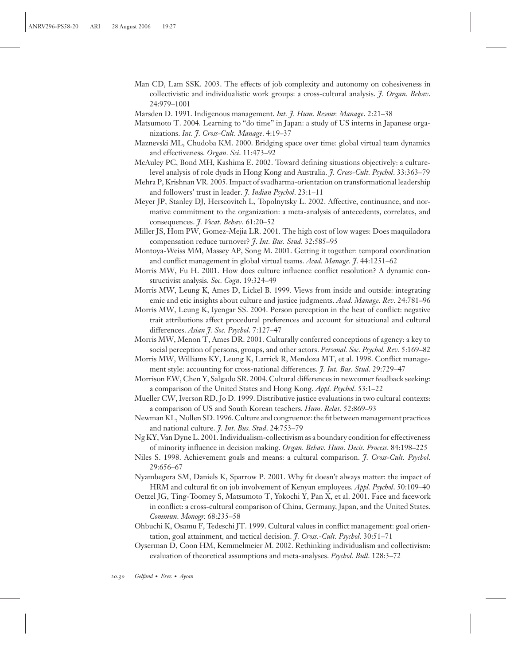- Man CD, Lam SSK. 2003. The effects of job complexity and autonomy on cohesiveness in collectivistic and individualistic work groups: a cross-cultural analysis. *J. Organ. Behav*. 24:979–1001
- Marsden D. 1991. Indigenous management. *Int. J. Hum. Resour. Manage*. 2:21–38
- Matsumoto T. 2004. Learning to "do time" in Japan: a study of US interns in Japanese organizations. *Int. J. Cross-Cult. Manage*. 4:19–37
- Maznevski ML, Chudoba KM. 2000. Bridging space over time: global virtual team dynamics and effectiveness. *Organ. Sci*. 11:473–92
- McAuley PC, Bond MH, Kashima E. 2002. Toward defining situations objectively: a culturelevel analysis of role dyads in Hong Kong and Australia. *J. Cross-Cult. Psychol*. 33:363–79
- Mehra P, Krishnan VR. 2005. Impact of svadharma-orientation on transformational leadership and followers' trust in leader. *J. Indian Psychol*. 23:1–11
- Meyer JP, Stanley DJ, Herscovitch L, Topolnytsky L. 2002. Affective, continuance, and normative commitment to the organization: a meta-analysis of antecedents, correlates, and consequences. *J. Vocat. Behav*. 61:20–52
- Miller JS, Hom PW, Gomez-Mejia LR. 2001. The high cost of low wages: Does maquiladora compensation reduce turnover? *J*. *Int. Bus. Stud*. 32:585–95
- Montoya-Weiss MM, Massey AP, Song M. 2001. Getting it together: temporal coordination and conflict management in global virtual teams. *Acad. Manage. J*. 44:1251–62
- Morris MW, Fu H. 2001. How does culture influence conflict resolution? A dynamic constructivist analysis. *Soc. Cogn*. 19:324–49
- Morris MW, Leung K, Ames D, Lickel B. 1999. Views from inside and outside: integrating emic and etic insights about culture and justice judgments. *Acad. Manage. Rev*. 24:781–96
- Morris MW, Leung K, Iyengar SS. 2004. Person perception in the heat of conflict: negative trait attributions affect procedural preferences and account for situational and cultural differences. *Asian J. Soc. Psychol*. 7:127–47
- Morris MW, Menon T, Ames DR. 2001. Culturally conferred conceptions of agency: a key to social perception of persons, groups, and other actors. *Personal. Soc. Psychol. Rev*. 5:169–82
- Morris MW, Williams KY, Leung K, Larrick R, Mendoza MT, et al. 1998. Conflict management style: accounting for cross-national differences. *J. Int. Bus. Stud*. 29:729–47
- Morrison EW, Chen Y, Salgado SR. 2004. Cultural differences in newcomer feedback seeking: a comparison of the United States and Hong Kong. *Appl. Psychol*. 53:1–22
- Mueller CW, Iverson RD, Jo D. 1999. Distributive justice evaluations in two cultural contexts: a comparison of US and South Korean teachers. *Hum. Relat*. 52:869–93
- Newman KL, Nollen SD. 1996. Culture and congruence: the fit between management practices and national culture. *J. Int. Bus. Stud*. 24:753–79
- Ng KY, Van Dyne L. 2001. Individualism-collectivism as a boundary condition for effectiveness of minority influence in decision making. *Organ. Behav. Hum. Decis. Process*. 84:198–225
- Niles S. 1998. Achievement goals and means: a cultural comparison. *J. Cross-Cult. Psychol*. 29:656–67
- Nyambegera SM, Daniels K, Sparrow P. 2001. Why fit doesn't always matter: the impact of HRM and cultural fit on job involvement of Kenyan employees. *Appl. Psychol*. 50:109–40
- Oetzel JG, Ting-Toomey S, Matsumoto T, Yokochi Y, Pan X, et al. 2001. Face and facework in conflict: a cross-cultural comparison of China, Germany, Japan, and the United States. *Commun. Monogr.* 68:235–58
- Ohbuchi K, Osamu F, Tedeschi JT. 1999. Cultural values in conflict management: goal orientation, goal attainment, and tactical decision. *J. Cross.-Cult. Psychol*. 30:51–71
- Oyserman D, Coon HM, Kemmelmeier M. 2002. Rethinking individualism and collectivism: evaluation of theoretical assumptions and meta-analyses. *Psychol. Bull*. 128:3–72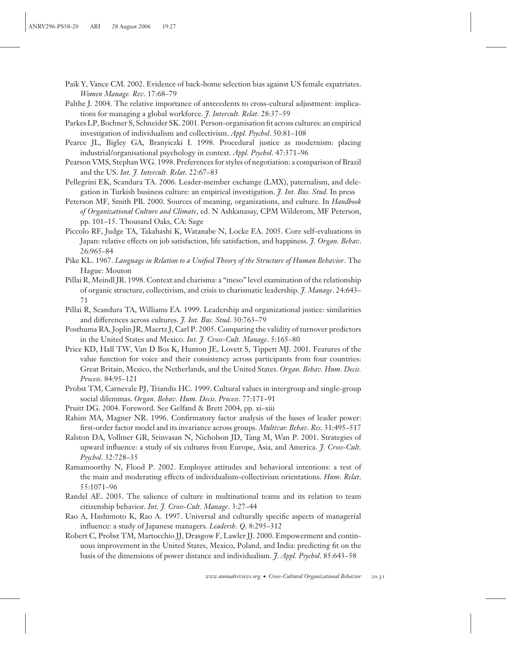- Paik Y, Vance CM. 2002. Evidence of back-home selection bias against US female expatriates. *Women Manage. Rev*. 17:68–79
- Palthe J. 2004. The relative importance of antecedents to cross-cultural adjustment: implications for managing a global workforce. *J. Intercult. Relat*. 28:37–59
- Parkes LP, Bochner S, Schneider SK. 2001. Person-organisation fit across cultures: an empirical investigation of individualism and collectivism. *Appl. Psychol*. 50:81–108
- Pearce JL, Bigley GA, Branyiczki I. 1998. Procedural justice as modernism: placing industrial/organisational psychology in context. *Appl. Psychol*. 47:371–96
- Pearson VMS, Stephan WG. 1998. Preferences for styles of negotiation: a comparison of Brazil and the US. *Int. J. Intercult. Relat*. 22:67–83
- Pellegrini EK, Scandura TA. 2006. Leader-member exchange (LMX), paternalism, and delegation in Turkish business culture: an empirical investigation. *J. Int. Bus. Stud.* In press
- Peterson MF, Smith PB. 2000. Sources of meaning, organizations, and culture. In *Handbook of Organizational Culture and Climate*, ed. N Ashkanasay, CPM Wilderom, MF Peterson, pp. 101–15. Thousand Oaks, CA: Sage
- Piccolo RF, Judge TA, Takahashi K, Watanabe N, Locke EA. 2005. Core self-evaluations in Japan: relative effects on job satisfaction, life satisfaction, and happiness. *J. Organ. Behav*. 26:965–84
- Pike KL. 1967. *Language in Relation to a Unified Theory of the Structure of Human Behavior*. The Hague: Mouton
- Pillai R, Meindl JR. 1998. Context and charisma: a "meso" level examination of the relationship of organic structure, collectivism, and crisis to charismatic leadership. *J. Manage*. 24:643– 71
- Pillai R, Scandura TA, Williams EA. 1999. Leadership and organizational justice: similarities and differences across cultures. *J. Int. Bus. Stud*. 30:763–79
- Posthuma RA, Joplin JR, Maertz J, Carl P. 2005. Comparing the validity of turnover predictors in the United States and Mexico. *Int. J. Cross*-*Cult. Manage*. 5:165–80
- Price KD, Hall TW, Van D Bos K, Hunton JE, Lovett S, Tippett MJ. 2001. Features of the value function for voice and their consistency across participants from four countries: Great Britain, Mexico, the Netherlands, and the United States. *Organ. Behav. Hum. Decis. Process*. 84:95–121
- Probst TM, Carnevale PJ, Triandis HC. 1999. Cultural values in intergroup and single-group social dilemmas. *Organ. Behav. Hum. Decis. Process*. 77:171–91
- Pruitt DG. 2004. Foreword. See Gelfand & Brett 2004, pp. xi–xiii
- Rahim MA, Magner NR. 1996. Confirmatory factor analysis of the bases of leader power: first-order factor model and its invariance across groups. *Multivar. Behav. Res*. 31:495–517
- Ralston DA, Vollmer GR, Srinvasan N, Nicholson JD, Tang M, Wan P. 2001. Strategies of upward influence: a study of six cultures from Europe, Asia, and America. *J. Cross-Cult. Psychol*. 32:728–35
- Ramamoorthy N, Flood P. 2002. Employee attitudes and behavioral intentions: a test of the main and moderating effects of individualism-collectivism orientations. *Hum. Relat*. 55:1071–96
- Randel AE. 2003. The salience of culture in multinational teams and its relation to team citizenship behavior. *Int. J. Cross-Cult. Manage*. 3:27–44
- Rao A, Hashimoto K, Rao A. 1997. Universal and culturally specific aspects of managerial influence: a study of Japanese managers. *Leadersh. Q*. 8:295–312
- Robert C, Probst TM, Martocchio JJ, Drasgow F, Lawler JJ. 2000. Empowerment and continuous improvement in the United States, Mexico, Poland, and India: predicting fit on the basis of the dimensions of power distance and individualism. *J. Appl. Psychol*. 85:643–58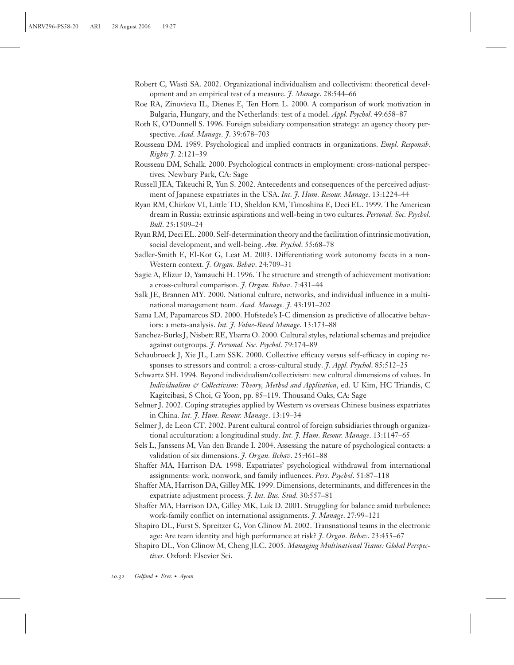- Robert C, Wasti SA. 2002. Organizational individualism and collectivism: theoretical development and an empirical test of a measure. *J. Manage*. 28:544–66
- Roe RA, Zinovieva IL, Dienes E, Ten Horn L. 2000. A comparison of work motivation in Bulgaria, Hungary, and the Netherlands: test of a model. *Appl. Psychol*. 49:658–87
- Roth K, O'Donnell S. 1996. Foreign subsidiary compensation strategy: an agency theory perspective. *Acad. Manage. J*. 39:678–703
- Rousseau DM. 1989. Psychological and implied contracts in organizations. *Empl. Responsib. Rights J*. 2:121–39
- Rousseau DM, Schalk. 2000. Psychological contracts in employment: cross-national perspectives. Newbury Park, CA: Sage
- Russell JEA, Takeuchi R, Yun S. 2002. Antecedents and consequences of the perceived adjustment of Japanese expatriates in the USA. *Int. J. Hum. Resour. Manage*. 13:1224–44
- Ryan RM, Chirkov VI, Little TD, Sheldon KM, Timoshina E, Deci EL. 1999. The American dream in Russia: extrinsic aspirations and well-being in two cultures. *Personal. Soc. Psychol. Bull*. 25:1509–24
- Ryan RM, Deci EL. 2000. Self-determination theory and the facilitation of intrinsic motivation, social development, and well-being. *Am. Psychol*. 55:68–78
- Sadler-Smith E, El-Kot G, Leat M. 2003. Differentiating work autonomy facets in a non-Western context. *J. Organ. Behav*. 24:709–31
- Sagie A, Elizur D, Yamauchi H. 1996. The structure and strength of achievement motivation: a cross-cultural comparison. *J. Organ. Behav*. 7:431–44
- Salk JE, Brannen MY. 2000. National culture, networks, and individual influence in a multinational management team. *Acad. Manage. J*. 43:191–202
- Sama LM, Papamarcos SD. 2000. Hofstede's I-C dimension as predictive of allocative behaviors: a meta-analysis. *Int. J. Value-Based Manage*. 13:173–88
- Sanchez-Burks J, Nisbett RE, Ybarra O. 2000. Cultural styles, relational schemas and prejudice against outgroups. *J. Personal. Soc. Psychol*. 79:174–89
- Schaubroeck J, Xie JL, Lam SSK. 2000. Collective efficacy versus self-efficacy in coping responses to stressors and control: a cross-cultural study. *J. Appl. Psychol*. 85:512–25
- Schwartz SH. 1994. Beyond individualism/collectivism: new cultural dimensions of values. In *Individualism & Collectivism: Theory, Method and Application*, ed. U Kim, HC Triandis, C Kagitcibasi, S Choi, G Yoon, pp. 85–119. Thousand Oaks, CA: Sage
- Selmer J. 2002. Coping strategies applied by Western vs overseas Chinese business expatriates in China. *Int. J. Hum. Resour. Manage*. 13:19–34
- Selmer J, de Leon CT. 2002. Parent cultural control of foreign subsidiaries through organizational acculturation: a longitudinal study. *Int. J. Hum. Resour. Manage*. 13:1147–65
- Sels L, Janssens M, Van den Brande I. 2004. Assessing the nature of psychological contacts: a validation of six dimensions. *J. Organ. Behav*. 25:461–88
- Shaffer MA, Harrison DA. 1998. Expatriates' psychological withdrawal from international assignments: work, nonwork, and family influences. *Pers. Psychol*. 51:87–118
- Shaffer MA, Harrison DA, Gilley MK. 1999. Dimensions, determinants, and differences in the expatriate adjustment process. *J. Int. Bus. Stud*. 30:557–81
- Shaffer MA, Harrison DA, Gilley MK, Luk D. 2001. Struggling for balance amid turbulence: work-family conflict on international assignments. *J. Manage*. 27:99–121
- Shapiro DL, Furst S, Spreitzer G, Von Glinow M. 2002. Transnational teams in the electronic age: Are team identity and high performance at risk? *J*. *Organ. Behav*. 23:455–67
- Shapiro DL, Von Glinow M, Cheng JLC. 2005. *Managing Multinational Teams: Global Perspectives*. Oxford: Elsevier Sci.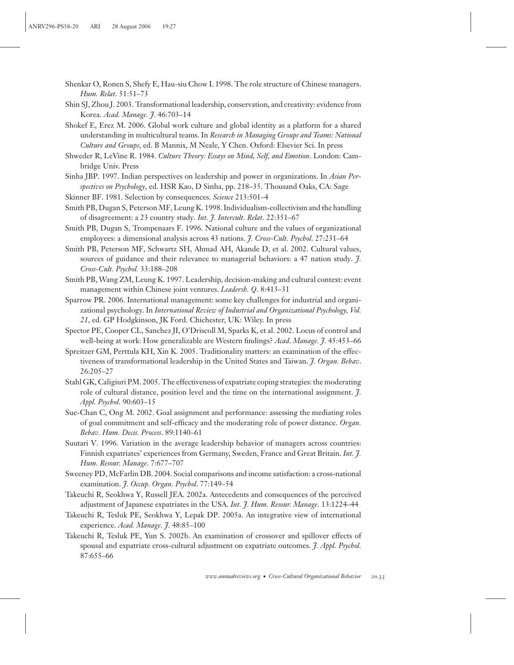- Shenkar O, Ronen S, Shefy E, Hau-siu Chow I. 1998. The role structure of Chinese managers. *Hum. Relat*. 51:51–73
- Shin SJ, Zhou J. 2003. Transformational leadership, conservation, and creativity: evidence from Korea. *Acad. Manage. J*. 46:703–14
- Shokef E, Erez M. 2006. Global work culture and global identity as a platform for a shared understanding in multicultural teams. In *Research in Managing Groups and Teams: National Culture and Groups*, ed. B Mannix, M Neale, Y Chen. Oxford: Elsevier Sci. In press
- Shweder R, LeVine R. 1984. *Culture Theory: Essays on Mind, Self, and Emotion*. London: Cambridge Univ. Press
- Sinha JBP. 1997. Indian perspectives on leadership and power in organizations. In *Asian Perspectives on Psychology*, ed. HSR Kao, D Sinha, pp. 218–35. Thousand Oaks, CA: Sage
- Skinner BF. 1981. Selection by consequences. *Science* 213:501–4
- Smith PB, Dugan S, Peterson MF, Leung K. 1998. Individualism-collectivism and the handling of disagreement: a 23 country study. *Int. J. Intercult. Relat*. 22:351–67
- Smith PB, Dugan S, Trompenaars F. 1996. National culture and the values of organizational employees: a dimensional analysis across 43 nations. *J. Cross-Cult. Psychol*. 27:231–64
- Smith PB, Peterson MF, Schwartz SH, Ahmad AH, Akande D, et al. 2002. Cultural values, sources of guidance and their relevance to managerial behaviors: a 47 nation study. *J. Cross-Cult. Psychol.* 33:188–208
- Smith PB, Wang ZM, Leung K. 1997. Leadership, decision-making and cultural context: event management within Chinese joint ventures. *Leadersh. Q*. 8:413–31
- Sparrow PR. 2006. International management: some key challenges for industrial and organizational psychology. In *International Review of Industrial and Organizational Psychology, Vol. 21*, ed. GP Hodgkinson, JK Ford. Chichester, UK: Wiley. In press
- Spector PE, Cooper CL, Sanchez JI, O'Driscoll M, Sparks K, et al. 2002. Locus of control and well-being at work: How generalizable are Western findings? *Acad*. *Manage. J.* 45:453–66
- Spreitzer GM, Perttula KH, Xin K. 2005. Traditionality matters: an examination of the effectiveness of transformational leadership in the United States and Taiwan. *J. Organ. Behav*. 26:205–27
- Stahl GK, Caligiuri PM. 2005. The effectiveness of expatriate coping strategies: the moderating role of cultural distance, position level and the time on the international assignment. *J. Appl. Psychol*. 90:603–15
- Sue-Chan C, Ong M. 2002. Goal assignment and performance: assessing the mediating roles of goal commitment and self-efficacy and the moderating role of power distance. *Organ. Behav. Hum. Decis. Process*. 89:1140–61
- Suutari V. 1996. Variation in the average leadership behavior of managers across countries: Finnish expatriates' experiences from Germany, Sweden, France and Great Britain. *Int. J. Hum. Resour. Manage*. 7:677–707
- Sweeney PD, McFarlin DB. 2004. Social comparisons and income satisfaction: a cross-national examination. *J. Occup. Organ. Psychol*. 77:149–54
- Takeuchi R, Seokhwa Y, Russell JEA. 2002a. Antecedents and consequences of the perceived adjustment of Japanese expatriates in the USA. *Int. J. Hum. Resour. Manage*. 13:1224–44
- Takeuchi R, Tesluk PE, Seokhwa Y, Lepak DP. 2005a. An integrative view of international experience. *Acad. Manage. J.* 48:85–100
- Takeuchi R, Tesluk PE, Yun S. 2002b. An examination of crossover and spillover effects of spousal and expatriate cross-cultural adjustment on expatriate outcomes. *J. Appl. Psychol.* 87:655–66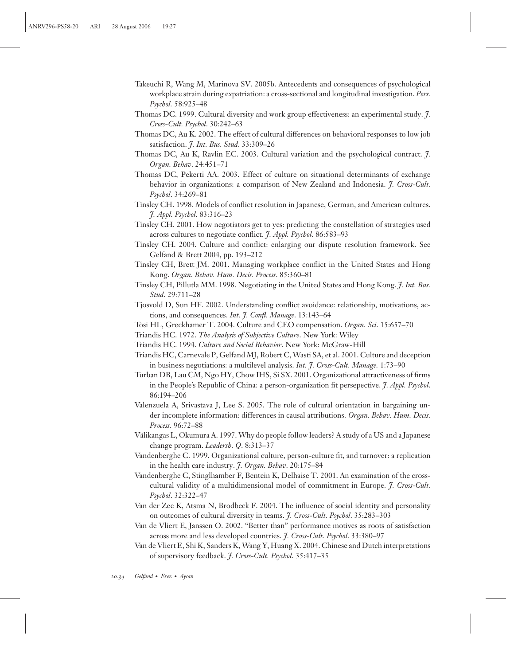- Takeuchi R, Wang M, Marinova SV. 2005b. Antecedents and consequences of psychological workplace strain during expatriation: a cross-sectional and longitudinal investigation. *Pers. Psychol.* 58:925–48
- Thomas DC. 1999. Cultural diversity and work group effectiveness: an experimental study. *J. Cross-Cult. Psychol*. 30:242–63
- Thomas DC, Au K. 2002. The effect of cultural differences on behavioral responses to low job satisfaction. *J. Int. Bus. Stud*. 33:309–26
- Thomas DC, Au K, Ravlin EC. 2003. Cultural variation and the psychological contract. *J. Organ. Behav*. 24:451–71
- Thomas DC, Pekerti AA. 2003. Effect of culture on situational determinants of exchange behavior in organizations: a comparison of New Zealand and Indonesia. *J. Cross-Cult. Psychol*. 34:269–81
- Tinsley CH. 1998. Models of conflict resolution in Japanese, German, and American cultures. *J. Appl. Psychol*. 83:316–23
- Tinsley CH. 2001. How negotiators get to yes: predicting the constellation of strategies used across cultures to negotiate conflict. *J. Appl. Psychol*. 86:583–93
- Tinsley CH. 2004. Culture and conflict: enlarging our dispute resolution framework. See Gelfand & Brett 2004, pp. 193–212
- Tinsley CH, Brett JM. 2001. Managing workplace conflict in the United States and Hong Kong. *Organ. Behav. Hum. Decis. Process*. 85:360–81
- Tinsley CH, Pillutla MM. 1998. Negotiating in the United States and Hong Kong. *J. Int. Bus. Stud*. 29:711–28
- Tjosvold D, Sun HF. 2002. Understanding conflict avoidance: relationship, motivations, actions, and consequences. *Int. J. Confl. Manage*. 13:143–64
- Tosi HL, Greckhamer T. 2004. Culture and CEO compensation. *Organ. Sci*. 15:657–70
- Triandis HC. 1972. *The Analysis of Subjective Culture*. New York: Wiley
- Triandis HC. 1994. *Culture and Social Behavior*. New York: McGraw-Hill
- Triandis HC, Carnevale P, Gelfand MJ, Robert C, Wasti SA, et al. 2001. Culture and deception in business negotiations: a multilevel analysis. *Int. J. Cross-Cult. Manage.* 1:73–90
- Turban DB, Lau CM, Ngo HY, Chow IHS, Si SX. 2001. Organizational attractiveness of firms in the People's Republic of China: a person-organization fit persepective. *J. Appl. Psychol*. 86:194–206
- Valenzuela A, Srivastava J, Lee S. 2005. The role of cultural orientation in bargaining under incomplete information: differences in causal attributions. *Organ. Behav. Hum. Decis. Process*. 96:72–88
- Valikangas L, Okumura A. 1997. Why do people follow leaders? A study of a US and a Japanese ¨ change program. *Leadersh. Q*. 8:313–37
- Vandenberghe C. 1999. Organizational culture, person-culture fit, and turnover: a replication in the health care industry. *J. Organ. Behav*. 20:175–84
- Vandenberghe C, Stinglhamber F, Bentein K, Delhaise T. 2001. An examination of the crosscultural validity of a multidimensional model of commitment in Europe. *J. Cross-Cult. Psychol*. 32:322–47
- Van der Zee K, Atsma N, Brodbeck F. 2004. The influence of social identity and personality on outcomes of cultural diversity in teams. *J. Cross-Cult. Psychol*. 35:283–303
- Van de Vliert E, Janssen O. 2002. "Better than" performance motives as roots of satisfaction across more and less developed countries. *J. Cross-Cult. Psychol*. 33:380–97
- Van de Vliert E, Shi K, Sanders K, Wang Y, Huang X. 2004. Chinese and Dutch interpretations of supervisory feedback. *J. Cross-Cult. Psychol*. 35:417–35

*20.34 Gelfand* · *Erez* · *Aycan*